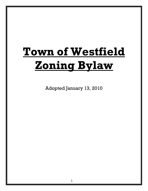# **Town of Westfield Zoning Bylaw**

Adopted January 13, 2010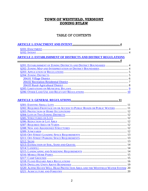# TOWN OF WESTFIELD, VERMONT **ZONING BYLAW**

# TABLE OF CONTENTS

| <b>ARTICLE 2: ESTABLISHMENT OF DISTRICTS AND DISTRICT REGULATIONS</b>          |  |
|--------------------------------------------------------------------------------|--|
|                                                                                |  |
| §201: ESTABLISHMENT OF ZONING DISTRICTS AND DISTRICT BOUNDARIES  4             |  |
|                                                                                |  |
|                                                                                |  |
|                                                                                |  |
|                                                                                |  |
|                                                                                |  |
|                                                                                |  |
|                                                                                |  |
|                                                                                |  |
|                                                                                |  |
|                                                                                |  |
|                                                                                |  |
| §302: REQUIRED FRONTAGE ON OR ACCESS TO PUBLIC ROADS OR PUBLIC WATERS  11      |  |
|                                                                                |  |
|                                                                                |  |
|                                                                                |  |
|                                                                                |  |
|                                                                                |  |
|                                                                                |  |
|                                                                                |  |
|                                                                                |  |
|                                                                                |  |
|                                                                                |  |
|                                                                                |  |
|                                                                                |  |
|                                                                                |  |
|                                                                                |  |
|                                                                                |  |
|                                                                                |  |
|                                                                                |  |
| §320: ALPINE HAVEN WELL HEAD PROTECTION AREA AND THE WESTFIELD WATER SYSTEM 20 |  |
|                                                                                |  |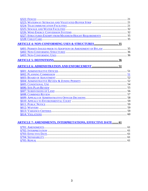# **ARTICLE 7: AMENDMENTS, INTERPRETATIONS, EFFECTIVE DATE........ 61**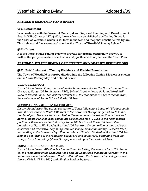## **ARTICLE 1: ENACTMENT AND INTENT**

### **§101: Enactment**

In accordance with the Vermont Municipal and Regional Planning and Development Act, 24 VSA, Chapter 117, §4401, there is hereby established this Zoning Bylaw for the Town of Westfield which is set forth in the text and map that constitute this bylaw. This bylaw shall be known and cited as the "Town of Westfield Zoning Bylaw."

## **§102: Intent**

It is the intent of this Zoning Bylaw to provide for orderly community growth, to further the purposes established in 24 VSA, §4302 and to implement the Town Plan.

## **ARTICLE 2: ESTABLISHMENT OF DISTRICTS AND DISTRICT REGULATIONS**

### **§201: Establishment of Zoning Districts and District Boundaries**

The Town of Westfield is hereby divided into the following Zoning Districts as shown on the Town Zoning Map and defined herein:

#### VILLAGE DISTRICTS

*District Boundaries: Four points define the boundaries: Route 100 North from the Town Garage to Route 100 South, house #146; School Street to house #38; and North Hill Road to Bessett Road. The district extends as a 400 foot buffer in each direction from the centerlines of Route 100 and North Hill Road.* 

#### RECREATIONAL-RESIDENTIAL DISTRICTS

*District Boundaries: The northwest corner of Town following a buffer of 1500 feet south from the centerline of Route 242, west to the border of Montgomery and north to the border of Jay. The area known as Alpine Haven in the northwest section of town and north of Route 242 is entirely within this district (see map) . Also in the northeastern portion of Town as a buffer following Route 100 North and North Hill Road. The boundary of North Hill Road will extend 200 feet from the centerline of the road both eastward and westward, beginning from the village district boundary (Bessette Road) and ending at the border of Jay. The boundary of Route 100 North will extend 200 feet from the centerline of the road both northward and southward, beginning from the village district boundary (Town Garage) and ending at the border of Troy.* 

## RURAL-AGRICULTURAL DISTRICTS

*District Boundaries: All other land in the Town including the areas of Buck Hill, Route 58, the remainder of the Kennison Road and the Loop Road that are not already in the Recreation-Residential district, Route 100 South from the border of the Village district (house #1465, VT Rte 100 ) and all other land in-between.*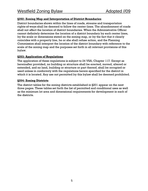## **§202: Zoning Map and Interpretation of District Boundaries**

District boundaries shown within the lines of roads, streams and transportation rights-of-ways shall be deemed to follow the center-lines. The abandonment of roads shall not affect the location of district boundaries. When the Administrative Officer cannot definitely determine the location of a district boundary by such center lines, by the scale or dimensions stated on the zoning map, or by the fact that it clearly coincides with a property line, he or she shall refuse action, and the Planning Commission shall interpret the location of the district boundary with reference to the scale of the zoning map and the purposes set forth in all relevant provisions of this bylaw.

## **§203: Application of Regulations**

The application of these regulations is subject to 24 VSA, Chapter 117. Except as hereinafter provided, no building or structure shall be erected, moved, altered or extended, and no land, building or structure or part thereof, shall be occupied or used unless in conformity with the regulations herein specified for the district in which it is located. Any use not permitted by this bylaw shall be deemed prohibited.

## **§204: Zoning Districts**

The district tables for the zoning districts established in §201 appear on the next three pages. These tables set forth the list of permitted and conditional uses as well as the minimum lot area and dimensional requirements for development in each of the districts.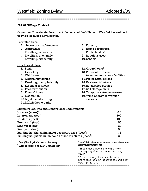**204.01 Village District** 

Objective: To maintain the current character of the Village of Westfield as well as to provide for future development.

==========================================================

#### Permitted Uses:

- 1. Accessory use/structure
- 2. Agriculture $<sup>1</sup>$ </sup>
- 3. Dwelling, accessory
- 4. Dwelling, one family
- 5. Dwelling, two family

#### Conditional Uses:

- 1. Bank
- 2. Cemetery
- 3. Child care
- 4. Community center
- 5. Dwelling, multiple family
- 6. Essential services
- 7. Fuel distribution
- 8. Funeral home
- 9. Gas station
- 10.Light manufacturing
- 11.Mobile home parks
- 6. Forestry $<sup>1</sup>$ </sup>
- 7. Home occupation
- 8. Public facility<sup>4</sup>
- 9. Religious uses<sup>4</sup>
- 10.School4
- 12. Group home<sup>5</sup>
- 13.Personal wireless
	- telecommunications facilities
- 14.Professional offices
- 15.Restaurant/bakery
- 16.Retail sales/service
- 17.Self storage units
- 18.Temporary structures/uses
- 19.Wind energy conversion systems

#### Minimum Lot Area and Dimensional Requirements

| Lot area $(a \csc^2)$ :                                                | 0.5 |
|------------------------------------------------------------------------|-----|
| Lot frontage (feet):                                                   | 100 |
| Lot depth (feet):                                                      | 100 |
| Front yard (feet):                                                     | 50  |
| Side yards (feet):                                                     | 20  |
| Rear yard (feet):                                                      | 30  |
| Building height maximum for accessory uses (feet) <sup>3</sup> :       | 15  |
| Building height maximum for all other structures (feet) <sup>3</sup> : | 35  |

| $\frac{1}{2}$ See §323: Agriculture and Forestry<br>$2$ Acre is defined as 43,560 square feet | $3$ See §329: Structures Exempt from Maximum<br><b>Height Requirements</b>                                                                                                                        |
|-----------------------------------------------------------------------------------------------|---------------------------------------------------------------------------------------------------------------------------------------------------------------------------------------------------|
|                                                                                               | <sup>4</sup> These uses may be exempt from<br>zoning regulation under 24 VSA,<br>\$4413<br><sup>5</sup> This use may be considered a<br>permitted use in accordance with 24<br>$VSA, \S4412(G)$ . |
|                                                                                               |                                                                                                                                                                                                   |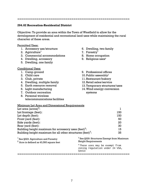==========================================================

4. Dwelling, accessory 5. Dwelling, one family Conditional Uses: 1. Camp ground 2. Child care 3. Club, private 4. Dwelling, multiple family

- 5. Earth resource removal
- 6. Light manufacturing
- 7. Outdoor recreation
- 8. Personal wireless telecommunications facilities
- 6. Dwelling, two family
- 7. Forestry $<sup>1</sup>$ </sup>
- 8. Home occupation
- 9. Religious uses<sup>4</sup>
- 9. Professional offices
- 10. Public assembly<sup>4</sup>
- 11.Restaurant/bakery
- 12.Retail sales/service
- 13.Temporary structures/uses
- 14.Wind energy conversion systems

Minimum Lot Area and Dimensional Requirements  $L$ ot area (acres)

| Lot area $(a \csc^2)$ :                                                                          |                                                                            |     |
|--------------------------------------------------------------------------------------------------|----------------------------------------------------------------------------|-----|
| Lot frontage (feet):                                                                             |                                                                            | 150 |
| Lot depth (feet):                                                                                |                                                                            | 150 |
| Front yard (feet):                                                                               |                                                                            | 50  |
| Side yards (feet):                                                                               |                                                                            | 20  |
| Rear yard (feet):                                                                                |                                                                            | 30  |
| Building height maximum for accessory uses (feet) <sup>3</sup> :                                 |                                                                            | 15  |
| Building height maximum for all other structures (feet) <sup>3</sup> :                           |                                                                            | 35  |
| <sup>1</sup> See §323: Agriculture and Forestry<br>$2^{2}$ Acre is defined as 43,560 square feet | $3$ See §329: Structures Exempt from Maximum<br><b>Height Requirements</b> |     |

<sup>4</sup> These uses may be exempt from zoning regulation under 24 VSA, §4413

==========================================================

## **204.02 Recreation-Residential District**

Objective: To provide an area within the Town of Westfield to allow for the development of residential and recreational land uses while maintaining the rural character of these areas.

#### Permitted Uses:

- 1. Accessory use/structure
- 2. Agriculture $<sup>1</sup>$ </sup>
- 3. Commercial accommodations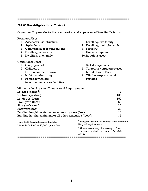==========================================================

#### **204.03 Rural-Agricultural District**

Objective: To provide for the continuation and expansion of Westfield's farms.

#### Permitted Uses:

- 1. Accessory use/structure
- 2. Agriculture<sup>1</sup>
- 3. Commercial accommodations
- 4. Dwelling, accessory
- 5. Dwelling, one family

#### Conditional Uses:

- 1. Camp ground
- 2. Child care
- 3. Earth resource removal
- 4. Light manufacturing
- 5. Personal wireless telecommunications facilities
- 6. Dwelling, two family
- 7. Dwelling, multiple family
- 8. Forestry $<sup>1</sup>$ </sup>
- 9. Home occupation
- 10. Religious uses<sup>4</sup>
- 6. Self storage units
- 7. Temporary structures/uses
- 8. Mobile Home Park
- 9. Wind energy conversion systems

#### Minimum Lot Area and Dimensional Requirements

| Lot area $(a \csc^2)$ :                                                | 2   |
|------------------------------------------------------------------------|-----|
| Lot frontage (feet):                                                   | 150 |
| Lot depth (feet):                                                      | 150 |
| Front yard (feet):                                                     | 50  |
| Side yards (feet):                                                     | 20  |
| Rear yard (feet):                                                      | 30  |
| Building height maximum for accessory uses (feet) <sup>3</sup> :       | 15  |
| Building height maximum for all other structures (feet) <sup>3</sup> : | 35  |

| $1$ See §323: Agriculture and Forestry<br>$2$ Acre is defined as 43,560 square feet | $3$ See §329: Structures Exempt from Maximum<br><b>Height Requirements</b>              |  |
|-------------------------------------------------------------------------------------|-----------------------------------------------------------------------------------------|--|
|                                                                                     | <sup>4</sup> These uses may be exempt from<br>zoning regulation under 24 VSA,<br>\$4413 |  |
|                                                                                     |                                                                                         |  |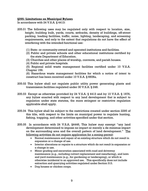#### **§205: Limitations on Municipal Bylaws**

In accordance with 24 V.S.A. § 4413:

- 205.01 The following uses may be regulated only with respect to location, size, height, building bulk, yards, courts, setbacks, density of buildings, off-street parking, loading facilities, traffic, noise, lighting, landscaping, and screening requirements, and only to the extent that regulations do not have the effect of interfering with the intended functional use:
	- (1) State- or community-owned and operated institutions and facilities.
	- (2) Public and private schools and other educational institutions certified by the state Department of Education.
	- (3) Churches and other places of worship, convents, and parish houses.
	- (4) Public and private hospitals.

 (5) Regional solid waste management facilities certified under 10 V.S.A. Chapter 159.

 (6) Hazardous waste management facilities for which a notice of intent to construct has been received under 10 V.S.A. § 6606a.

- 205.02 This bylaw shall not regulate public utility power generating plants and transmission facilities regulated under 30 V.S.A. § 248.
- 205.03 Except as otherwise provided by 24 V.S.A. § 4413 and by 10 V.S.A. § 1976, any bylaw enacted with respect to any land development that is subject to regulation under state statutes, the more stringent or restrictive regulation applicable shall apply.
- 205.04 This bylaw shall be subject to the restrictions created under section 2295 of this title, with respect to the limits on municipal power to regulate hunting, fishing, trapping, and other activities specified under that section.
- 205.05 In accordance with 24 V.S.A. §4446, This bylaw may exempt "any land development determined to impose no impact or merely a de minimus impact on the surrounding area and the overall pattern of land development." The following activities do not require application for a zoning permit:
	- Normal maintenance and repair of an existing structure which do not result in expansion or a change of use.
	- Interior alterations or repairs to a structure which do not result in expansion or a change in use.
	- Minor grading and excavation associated with road and driveway maintenance (e.g., including culvert replacement and resurfacing), and lawn and yard maintenance (e.g., for gardening or landscaping), or which is otherwise incidental to an approved use. This specifically does not include extraction and quarrying activities regulated under Section 313.
	- Dog houses or chicken coops.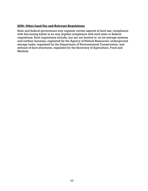## **§206: Other Land Use and Relevant Regulations**

State and federal government may regulate certain aspects of land use; compliance with this zoning bylaw in no way implies compliance with such state or federal regulations. Such regulations include, but are not limited to: on-lot sewage systems and outdoor furnaces, regulated by the Agency of Natural Resources; underground storage tanks, regulated by the Department of Environmental Conservation; and setback of farm structures, regulated by the Secretary of Agriculture, Food and Markets.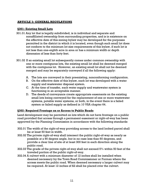## **ARTICLE 3: GENERAL REGULATIONS**

#### **§301: Existing Small Lots**

- 301.01 Any lot that is legally subdivided, is in individual and separate and nonaffiliated ownership from surrounding properties, and is in existence on the effective date of this zoning bylaw may be developed for the purposes permitted in the district in which it is located, even though such small lot does not conform to the minimum lot size requirements of this bylaw, if such lot is not less than one-eighth acre in area or has a minimum width or depth dimension of less than forty feet.
- 301.02 If an existing small lot subsequently comes under common ownership with one or more contiguous lots, the existing small lot shall be deemed merged with the contiguous lot. However, an existing small lot shall not be deemed merged and may be separately conveyed if all the following apply:
	- A. The lots are conveyed in their preexisting, nonconforming configuration.
	- B. On the effective date of this bylaw, each lot was developed with a water supply and wastewater disposal system.
	- C. At the time of transfer, each water supply and wastewater system is functioning in an acceptable manner.
	- D. The deeds of conveyance create appropriate easements on the existing small lots being conveyed for the replacement of one or more wastewater systems, potable water systems, or both, in the event there is a failed system or failed supply as defined in 10 VSA chapter 64.

#### **§302: Required Frontage on or Access to Public Roads**

Land development may be permitted on lots which do not have frontage on a public road provided that access through a permanent easement or right-of-way has been approved by the Planning Commission in accordance with the following standards:

- 302.01 The width of the right-of-way providing access to the land locked parcel shall be at least 50 feet in width.
- 302.02 The private right-of-way shall intersect the public right-of-way as nearly as possible at a 90 degree angle, but in no case less than 60 degrees, and provide a clear line of site of at least 300 feet in each direction along the public road.
- 302.03 The grade of the private right-of-way shall not exceed 5% within 50 feet of the traveled portion of the public right-of-way.
- 302.04 A culvert with a minimum diameter of 12 inches shall be installed when deemed necessary by the Town Road Commissioner or Forman where the access meets the public road. When deemed necessary a larger culvert may be required. At least 12 inches of fill shall be placed over the culvert.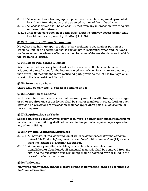- 302.05 All access drives fronting upon a paved road shall have a paved apron of at least 2 feet from the edge of the traveled portion of the right-of-way.
- 302.06 All access drives shall be at least 150 feet from any intersection involving two or more public streets.
- 302.07 Prior to the construction of a driveway, a public highway access permit shall be obtained as required by 19 VSA, § 1111(b).

## **§303: Protection of Home Occupations**

No bylaw may infringe upon the right of any resident to use a minor portion of a dwelling unit for an occupation that is customary in residential areas and that does not have an undue adverse effect upon the character of the residential area in which the dwelling is located.

## **§304: Lots in Two Zoning Districts**

Where a district boundary line divides a lot of record at the time such line is adopted, the regulations for the less restricted part of such lot shall extend not more than thirty (30) feet into the more restricted part, provided the lot has frontage on a street in the less restricted district.

## **§305: Structures on Lots**

There shall be only one (1) principal building on a lot.

## **§306: Reduction of Lot Area**

No lot shall be so reduced in area that the area, yards, lot width, frontage, coverage or other requirements of this bylaw shall be smaller than herein prescribed for each district. The provisions of this section shall not apply when part of a lot is taken for public purpose.

## **§307: Required Area or Yards**

Space required by this bylaw to satisfy area, yard, or other open space requirements in relation to one building shall not be counted as part of a required open space for any other building.

## **§308: New and Abandoned Structures**

- 308.01 All new structures, construction of which is commenced after the effective date of this Zoning Bylaw, must be completed within twenty-four (24) months from the issuance of a permit hereunder.
- 308.02 Within one year after a building or structure has been destroyed, demolished or abandoned, all structural materials shall be removed from the site, and the excavation thus remaining shall be covered over or filled to the normal grade by the owner.

## **§309: Junkyards**

Junkyards, junky yards, and the storage of junk motor vehicle shall be prohibited in the Town of Westfield.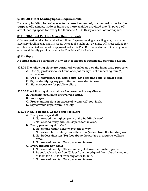## **§310: Off-Street Loading Space Requirements**

For every building hereafter erected, altered, extended, or changed in use for the purpose of business, trade or industry, there shall be provided one (1) paved offstreet loading space for every ten thousand (10,000) square feet of floor space.

### **§311: Off-Street Parking Space Requirements**

Off-street parking shall be provided as follows: 2 spaces per single dwelling unit; 1 space per accessory dwelling unit; and 1.5 spaces per unit of a multi-unit dwelling. Off-street parking for all other permitted uses must be approved under Site Plan Review; and off-street parking for all other conditionally permitted uses under Conditional Use Review.

#### **§312: Signs**

No signs shall be permitted in any district except as specifically permitted herein.

- 312.01 The following signs are permitted when located on the immediate property:
	- A. One (1) professional or home occupation sign, not exceeding four (4) square feet.
	- B. One (1) temporary real estate sign, not exceeding six (6) square feet.
	- C. Signs identifying any permitted non-residential use.
	- D. Signs necessary for public welfare.
- 312.02 The following signs shall not be permitted in any district:
	- A. Flashing, oscillating or revolving signs.
	- B. Roof signs.
	- C. Free standing signs in excess of twenty (20) feet high.
	- D. Signs which impair public safety.

#### 312.03 Wall, Projecting, Ground and Roof Signs

- A. Every wall sign shall:
	- 1. Not exceed the highest point of the building's roof.
	- 2. Not exceed thirty-two (32) square feet in area.
- B. Every projecting sign shall:
	- 1. Not extend within a highway right-of-way.
	- 2. Not extend horizontally more than four (4) feet from the building wall.
	- 3. Not be less than ten (10) feet above the surface of a public walking area.
	- 4. Not exceed twenty (20) square feet in area.
- C. Every ground sign shall:
	- 1. Not exceed twenty (20) feet in height above the finished grade.
	- 2. Be set back at least five (5) feet from the edge of the right-of-way, and at least ten (10) feet from any other lot line.
	- 3. Not exceed twenty (20) square feet in area.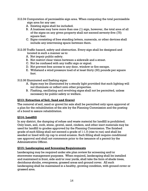- 312.04 Computation of permissible sign area. When computing the total permissible sign area for any use:
	- A. Existing signs shall be included.
	- B. A business may have more than one (1) sign, however, the total area of all of the signs on any given property shall not exceed seventy-five (75) square feet.
	- C. Signs consisting of free standing letters, numerals, or other devices shall include any intervening space between them.
- 312.05 Traffic hazard, safety and obstruction. Every sign shall be designed and located in such a manner as to:
	- A. Not impair public safety.
	- B. Not restrict clear vision between a sidewalk and a street.
	- C. Not be confused with any traffic sign or signal.
	- D. Not prevent free access to any door, window or fire escape.
	- E. Withstand a wind pressure load of at least thirty (30) pounds per square foot.

312.06 Illuminated and flashing signs:

- A. Signs may be illuminated by a steady light provided that such lighting will not illuminate or reflect onto other properties.
- B. Flashing, oscillating and revolving signs shall not be permitted, unless necessary for public safety or welfare.

## **§313: Extraction of Soil, Sand and Gravel**

The removal of soil, sand or gravel for sale shall be permitted only upon approval of a plan for the rehabilitation of the site by the Planning Commission and the posting of a bond to assure rehabilitation.

## **§314: Landfill**

In any district, the dumping of refuse and waste material for landfill is prohibited. Only loam, soil, rock, stone, gravel, sand, cinders, and other inert materials may be used for landfill to grades approved by the Planning Commission. The finished grade of such filling shall not exceed a grade of 1:1.5 (rise to run) and shall be seeded or lined with rip rap to avoid erosion. Such filling shall require conditional use approval and shall not commence prior to the issuance of a permit by the Administrative Officer.

## **§315: Landscaping and Screening Requirements**

Landscaping may be required under site plan review for screening and/or stormwater management purposes. When required, landscaping shall be installed and maintained in front, side and/or rear yards, shall take the form of shade trees, deciduous shrubs, evergreens, grassed areas and ground cover. All such landscaping shall be maintained in a healthy, growing condition, with ground cover or grassed area.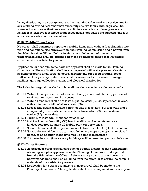In any district, any area designated, used or intended to be used as a service area for any building or land use; other than one family and two family dwellings; shall be screened from view with either a wall, a solid fence or a fence of evergreens at a height of at least five feet above grade level on all sides where the adjacent land is in a residential district or residential use.

## **§316: Mobile Home Parks**

No person shall construct or operate a mobile home park without first obtaining site plan and conditional use approval from the Planning Commission and a permit from the Administrative Officer. Before issuing a mobile home park permit, a performance bond shall be obtained from the operator to assure that the park is constructed in a satisfactory manner.

Application for a mobile home park site approval shall be made to the Planning Commission. The application shall be accompanied with a site plan and drawings showing property lines, area, contours, showing any proposed grading, roads, walkways, lots, parking, water lines, sanitary sewer and storm sewer drainage facilities, garbage collection stations and electrical distribution.

The following regulations shall apply to all mobile homes in mobile home parks:

- 316.01 Mobile home park area, not less than five (5) acres, with ten (10) percent of total area for recreational purposes.
- 316.02 Mobile home lots shall be at least eight thousand (8,000) square feet in area, with a minimum width of at least sixty (60)
- 316.03 Access driveways shall have a right-of-way at least fifty (50) feet wide and a compacted gravel surface that is at least twenty-four (24) feet wide and twelve (12) inches deep.
- 316.04 Parking, at least two (2) spaces for each lot.
- 316.05 A strip of land at least fifty (50) feet in width shall be maintained as a landscaped area abutting all mobile park property lines.
- 316.06 No mobile home shall be parked on a lot closer than ten (10) feet to a lot line.
- 316.07 No additions shall be made to a mobile home except a canopy, an enclosed porch, or an addition made by a mobile home manufacturer.
- 316.08 Not more than two (2) accessory buildings will be permitted per mobile home.

## **§317: Camp Grounds**

- 317.01 No person or persons shall construct or operate a camp ground without first obtaining site plan approval from the Planning Commission and a permit from the Administrative Officer. Before issuing a camp ground permit, a performance bond shall be obtained from the operator to assure the camp is maintained in a satisfactory manner.
- 317.02 Application for a camp ground site plan approval shall be made to the Planning Commission. The application shall be accompanied with a site plan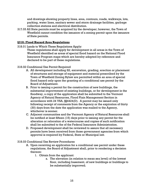and drawings showing property lines, area, contours, roads, walkways, lots, parking, water lines, sanitary sewer and storm drainage facilities, garbage collection stations and electrical distribution.

317.03 All State permits must be acquired by the developer; however, the Town of Westfield cannot condition the issuance of a zoning permit upon the issuance of State permits.

## **§318: Flood Hazard Area Regulations**

318.01 Lands to Which These Regulations Apply:

These regulations shall apply for development in all areas in the Town of Westfield identified as areas of special flood hazard on the National Flood Insurance Program maps which are hereby adopted by reference and declared to be part of these regulations.

- 318.02 Conditional Use Permit Required
	- A. All development including fill, excavation, grading, erection or placement of structures and storage of equipment and material prescribed by the Town of Westfield Zoning Bylaw are permitted within an area of special flood hazard only upon the granting of a conditional use permit by the Board of Adjustment.
	- B. Prior to issuing a permit for the construction of new buildings, the substantial improvement of existing buildings, or for development in the floodway, a copy of the application shall be submitted to the Vermont Agency of Natural Resources, Flood Plain Management Section in accordance with 24 VSA, §§4424(D). A permit may be issued only following receipt of comments from the Agency or the expiration of thirty (30) days from the date the application was mailed to the Agency, whichever is sooner.
	- C. Adjacent communities and the Vermont Agency of Natural Resources shall be notified at least fifteen (15) days prior to issuing any permit for the alteration or relocation of a watercourse and copies of such notification shall be submitted to the of the Federal Insurance Administration.
	- D. Proposed development shall be reviewed to assure that all necessary permits have been received from those government agencies from which approval is required by Federal, State or Municipal law.
- 318.03 Conditional Use Review Procedures
	- A. Upon receiving an application for a conditional use permit under these regulations, the Board of Adjustment shall, prior to rendering a decision thereon:
		- 1. Obtain from the applicant:
			- a. The elevation (in relation to mean sea level) of the lowest floor, including basement, of new buildings or buildings to be substantially improved;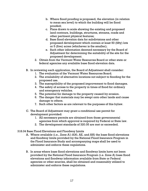- b. Where flood proofing is proposed, the elevation (in relation to mean sea level) to which the building will be flood proofed;
- c. Plans drawn to scale showing the existing and proposed land contours, buildings, structures, streams, roads and other pertinent physical features;
- d. Base flood elevation data for subdivisions and other proposed development which contain at least 50 (fifty) lots or 5 (five) acres (whichever is the smaller);
- e. Such other information deemed necessary by the Board of Adjustment for determining the suitability of the site for the proposed development.
- 2. Obtain from the Vermont Water Resources Board or other state or federal agencies any available base flood elevation data.
- B. In reviewing each application, the Board of Adjustment shall consider:
	- 1. The evaluation of the Vermont Water Resources Board.
	- 2. The availability of alternative locations not subject to flooding for the proposed use.
	- 3. The susceptibility of the proposed improvement to flood damages.
	- 4. The safety of access to the property in times of flood for ordinary and emergency vehicles.
	- 5. The potential for damage to the property caused by erosion.
	- 6. The danger that materials may be swept onto other lands and cause damage to others.
	- 7. Such other factors as are relevant to the purposes of this bylaw.
- C. The Board of Adjustment may grant a conditional use permit for development provided:
	- 1. All necessary permits are obtained from those governmental agencies from which approval is required by Federal or State law.
	- 2. The development standards of 320.05 are met or exceeded.
- 318.04 Base Flood Elevations and Floodway Limits
	- A. Where available (i.e., Zone A1-A30, AE, and AH) the base flood elevations and floodway limits provided by the National Flood Insurance Program in the Flood Insurance Study and accompanying maps shall be used to administer and enforce these regulations.
	- B. In areas where base flood elevations and floodway limits have not been provided by the National Flood Insurance Program (i.e. Zone A) base flood elevations and floodway information available from State or Federal agencies or other sources, shall be obtained and reasonably utilized to administer and enforce these regulations.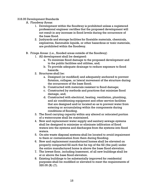#### 318.05 Development Standards

- A. Floodway Areas:
	- 1. Development within the floodway is prohibited unless a registered professional engineer certifies that the proposed development will not result in any increase in flood levels during the occurrence of the base flood.
	- 2. Junkyards and storage facilities for floatable materials, chemicals, explosives, flammable liquids, or other hazardous or toxic materials, are prohibited within the floodway.
- B. Fringe Areas: (i.e., flooded areas outside of the floodway)
	- 1. All development shall be designed:
		- a. To minimize flood damage to the proposed development and to the public facilities and utilities, and;
		- b. To provide adequate drainage to reduce exposure to flood hazards.
	- 2. Structures shall be:
		- a. Designed (or modified) and adequately anchored to prevent flotation, collapse, or lateral movement of the structure during the occurrence of the base flood;
		- b. Constructed with materials resistant to flood damage;
		- c. Constructed by methods and practices that minimize flood damage, and;
		- d. Constructed with electrical, heating, ventilation, plumbing, and air conditioning equipment and other service facilities that are designed and/or located so as to prevent water from entering or accumulating within the components during conditions of flooding.
	- 3. The flood carrying capacity within any altered or relocated portion of a watercourse shall be maintained.
	- 4. New and replacement water supply and sanitary sewage systems shall be designed to minimize or eliminate infiltration of flood waters into the systems and discharges from the systems into flood waters.
	- 5. On-site waste disposal systems shall be located to avoid impairment to them or contamination from them during flooding.
	- 6. New and replacement manufactured homes shall be elevated on properly compacted fill such that he top of the fill (the pad) under the entire manufactured home is above the base flood elevation.
	- 7. The lowest floor, including basement, of all new buildings shall be at or above the base flood elevation.
	- 8. Existing buildings to be substantially improved for residential purposes shall be modified or elevated to meet the requirements of 320.05 (B) (7).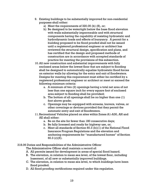- 9. Existing buildings to be substantially improved for non-residential purposes shall either:
	- a) Meet the requirements of 320.05 (b) (8), or;
	- b) Be designed to be watertight below the base flood elevation with walls substantially impermeable and with structural components having the capability of resisting hydrostatic and hydrodynamic loads and effects of buoyancy. A permit for a building proposed to be flood proofed shall not be issued until a registered professional engineer or architect has reviewed the structural design, specification and plans, and has certified that the design and proposed methods of construction are in accordance with accepted standards of practice for meeting the provisions of this subsection.
- 10.All new construction and substantial improvements with fully enclosed areas below the lowest floor that are subject to flooding shall be designed to automatically equalize hydrostatic flood forces on exterior walls by allowing for the entry and exit of floodwaters. Designs for meeting this requirement must either be certified by a registered professional engineer or architect or meet or exceed the following minimum criteria:
	- a. A minimum of two (2) openings having a total net area of not less than one square inch for every square foot of enclosed area subject to flooding shall be provided;
	- b. The bottom of all openings shall be no higher than one (1) foot above grade;
	- c. Openings may be equipped with screens, louvers, valves, or other coverings or devices provided that they permit the automatic entry and exit of floodwaters.
- 11.Recreational Vehicles placed on sites within Zones A1-A30, AH and AE shall either:
	- a. Be on the site for fewer than 180 consecutive days;
	- b. Be fully licensed and ready for highway use, or;
	- c. Meet all standards of Section 60.3 (b)(1) of the National Flood Insurance Program Regulations and the elevation and anchoring requirements for "manufactured homes" of Section 60.3 (c)(6).
- 318.06 Duties and Responsibilities of the Administrative Officer

The Administrative Officer shall maintain a record of:

- A. All permits issued for development in areas of special flood hazard.
- B. The elevation, in relation to mean sea level, of the lowest floor, including basement, of all new or substantially improved buildings.
- C. The elevation, in relation to mean sea level, to which buildings have been flood proofed.
- D. All flood proofing certifications required under this regulation.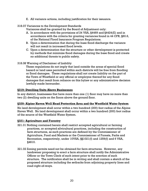- E. All variance actions, including justification for their issuance.
- 318.07 Variances to the Development Standards

Variances shall be granted by the Board of Adjustment only:

- A. In accordance with the provisions of 24 VSA, §4469 and §4424(E) and in accordance with the criteria for granting variances found in 44 CFR, §60.6, of the National Flood Insurance Program Regulations.
- B. Upon a determination that during the base flood discharge the variance will not result in increased flood levels.
- C. Upon a determination that the structure or other development is protected by methods that minimize flood damages during the base flood and create no additional threats to public safety.
- 318.08 Warning of Disclaimer of Liability

These regulations do not imply that land outside the areas of special flood hazard or land uses permitted within such districts will be free from flooding or flood damages. These regulations shall not create liability on the part of the Town of Westfield or any official or employee thereof for any flood damages that result from reliance on this bylaw or any administrative decision lawfully made hereunder.

### **§319: Dwelling Units Above Businesses**

In any district, businesses that have more than one (1) floor may have no more than two (2) dwelling units on the floors above the ground floor.

#### **§320: Alpine Haven Well Head Protection Area and the Westfield Water System**

No land development shall occur within a two hundred (200) foot radius of the Alpine Haven Well. No land development shall occur within a two hundred (200) foot radius of the source of the Westfield Water System.

#### **§321: Agriculture and Forestry**

- 321.01 Nothing contained herein shall restrict accepted agricultural or farming practices, or accepted silvicultural practices, including the construction of farm structures, as such practices are defined by the Commissioner of Agriculture, Food and Markets or the Commissioner of Forests, Parks and Recreation, respectively, under 10VSA, §§1021(f) and 1259(f) and 6 VSA, §4810.
- 321.02 Zoning permits need not be obtained for farm structures. However, any landowner proposing to erect a farm structure shall notify the Administrative Officer or the Town Clerk of such intent prior to the erection of such structure. The notification shall be in writing and shall contain a sketch of the proposed structure including the setbacks from adjoining property lines and road right-of-ways.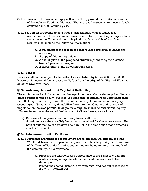- 321.03 Farm structures shall comply with setbacks approved by the Commissioner of Agriculture, Food and Markets. The approved setbacks are those setbacks contained in §205 of this bylaw.
- 321.04 A person proposing to construct a farm structure with setbacks less restrictive than those contained herein shall submit, in writing, a request for a variance to the Commissioner of Agriculture, Food and Markets. Such request must include the following information:
	- A. A statement of the reason or reasons less restrictive setbacks are necessary;
	- B. A copy of this zoning bylaw;
	- C. A sketch plan of the proposed structure(s) showing the distance from all property lines, and;
	- D. A description of the adjoining land uses.

## **§322: Fences**

Fences shall not be subject to the setbacks established by tables 205.01 to 205.03. However, fences shall be at least one (1) foot from the edge of the Right-of-Way and all other property lines.

## **§323: Waterway Setbacks and Vegetated Buffer Strip**

The minimum setback distance from the top of the bank of all waterways buildings or other structures will be fifty (50) feet. A buffer strip of undisturbed vegetation shall be left along all waterways, with the use of native vegetation in the landscaping encouraged. No activity may destabilize the shoreline. Cutting and removal of vegetation in the area parallel to all points along the shoreline and extending fifty (50) feet inland from the top of the bank is not allowed except as follows:

- a) Removal of dangerous dead or dying trees is allowed;
- b) A path no more than ten (10) feet wide is permitted for shoreline access. The path should not be in a straight line parallel to the slope such that it creates a conduit for runoff.

## **§324: Telecommunication Facilities**

- 324.01 Purposes: The purposes of this bylaw are to advance the objectives of the Westfield Town Plan, to protect the public health, safety and general welfare of the Town of Westfield, and to accommodate the communication needs of the community. This bylaw shall:
	- A. Preserve the character and appearance of the Town of Westfield while allowing adequate telecommunications services to be developed.
	- B. Protect the scenic, historic, environmental and natural resources of the Town of Westfield.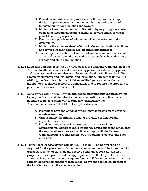- C. Provide standards and requirements for the operation, siting, design, appearance, construction, monitoring and removal of telecommunications facilities and towers.
- D. Minimize tower and antenna proliferation by requiring the sharing of existing telecommunications facilities, towers and sites where possible and appropriate.
- E Facilitate the provision of telecommunications services to the community.
- F. Minimize the adverse visual effects of telecommunications facilities and towers through careful design and siting standards.
- G. Encourage the location of towers and antennas in non-residential areas and away from other sensitive areas such as those that have schools and child care facilities.
- 324.02 Authority: Pursuant to 24 V.S.A. § 4401 et seq. the Planning Commission of the Town of Westfield is authorized to review, approve, conditionally approve, and deny applications for wireless telecommunications facilities, including sketch, preliminary and final plans, and installation. Pursuant to 24 V.S.A. § 4461(c), the Board is authorized to hire qualified persons to conduct an independent technical review of applications and to require the applicant to pay for all reasonable costs thereof.
- 324.03 Consistency with Federal Law: In addition to other findings required by this bylaw, the Board shall find that its decision regarding an application is intended to be consistent with federal law, particularly the Telecommunications Act of 1996. The bylaw does not:
	- A. Prohibit or have the effect of prohibiting the provision of personal wireless services;
	- B. Unreasonably discriminate among providers of functionally equivalent services; or
	- C. Regulate personal wireless services on the basis of the environmental effects of radio frequency emissions to the extent that the regulated services and facilities comply with the Federal Communications Commission (FCC) regulations concerning such emissions.
- 324.04 Limitations: In accordance with 24 V.S.A. §4412(8), no permit shall be required for the placement of communication antennae and facilities used to transmit, receive, or transmit and receive communications signals on a property owner's premises if the aggregate area of the largest faces of the antennae is not more than eight square feet, and if the antennae and any mast support does not extend more than 12 feet above the roof of that portion of the building to which the mast is attached.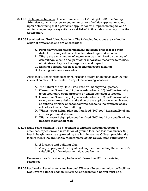- 324.05 De Minimus Impacts: In accordance with 24 V.S.A. §4412(9), the Zoning Administrator shall review telecommunications facilities applications, and upon determining that a particular application will impose no impact or de minimis impact upon any criteria established in this bylaw, shall approve the application.
- 324.06 Permitted and Prohibited Locations: The following locations are ranked in order of preference and are encouraged:
	- A. Personal wireless telecommunication facility sites that are most distant from single-family detached dwellings and schools.
	- B. Where the visual impact of towers can be minimized by the use of camouflage, stealth design or other innovative measures to reduce, eliminate or disguise the negative visual impact.
	- C. Existing personal wireless telecommunication facility(s).
	- D. Existing antenna/tower sites.

Additionally, freestanding telecommunications towers or antennas over 20 feet in elevation may not be located in any of the following locations:

- A. The habitat of any State listed Rare or Endangered Species.
- B. Closer than 'tower height plus one-hundred (100) feet' horizontally to the boundary of the property on which the tower is located.
- C. Closer than 'tower height plus one-hundred (100) feet' horizontally to any structure existing at the time of the application which is used as either a primary or secondary residence, to the property of any school, or to any other building.
- D. Within 'tower height plus one-hundred (100) feet' horizontally of any river or perennial stream.
- E. Within 'tower height plus one-hundred (100) feet' horizontally of any publicly maintained road.
- 324.07 Small Scale Facilities: The placement of wireless telecommunications antennas, repeaters and installation of ground facilities less than twenty (20) feet in height, may be approved by the Administrative Officer, provided the facility meets the applicable requirements of this bylaw, upon submission of:
	- A. A final site and building plan.
	- B. A report prepared by a qualified engineer indicating the structure's suitability for the telecommunications facility.

However no such device may be located closer than 50' to an existing residence.

324.08 Application Requirements for Personal Wireless Telecommunication Facilities Not Covered Under Section 326.07: An applicant for a permit must be a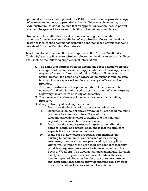personal wireless service provider or FCC licensee, or must provide a copy of its executed contract to provide land or facilities to such an entity, to the Administrative Officer at the time that an application is submitted. A permit shall not be granted for a tower or facility to be built on speculation.

No construction, alteration, modification (including the installation of antennas for new uses) or installation of any wireless telecommunications tower or facility shall commence without a conditional use permit first being obtained from the Planning Commission.

In addition to information otherwise required in the Town of Westfield's Zoning Bylaws, applicants for wireless telecommunications towers or facilities shall include the following supplemental information:

- A. The name and address of the applicant, the record landowners and any agents of the landowners or applicants as well as an applicant's registered agent and registered office. If the applicant is not a natural person, the name and address of the business and the state in which it is incorporated and has its principal office shall be provided.
- B. The name, address and telephone number of the person to be contacted and who is authorized to act in the event of an emergency regarding the structure or safety of the facility.
- C. The names and addresses of the record owners of all abutting property.
- D. A report from qualified engineers that:
	- i. Describes the facility height, design and elevation.
	- ii. Documents the height above grade for all proposed mounting positions for antennas to be collocated on a telecommunications tower or facility and the minimum separation distances between antennas.
	- iii. Describes the tower's proposed capacity, including the number, height and type(s) of antennas that the applicant expects the tower to accommodate.
	- iv. In the case of new tower proposals, demonstrates that existing telecommunications sites and other existing structures, or other structures proposed by the applicant within five (5) miles of the proposed site cannot reasonably provide adequate coverage and adequate capacity to the Town of Westfield. The documentation shall include, for each facility site or proposed site within such radius, the exact location, ground elevation, height of tower or structure, and sufficient additional data to allow the independent reviewer to verify that other locations will not be suitable.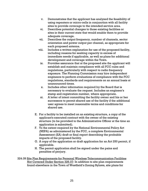- v. Demonstrates that the applicant has analyzed the feasibility of using repeaters or micro-cells in conjunction with all facility sites to provide coverage to the intended service area.
- vi. Describes potential changes to those existing facilities or sites in their current state that would enable them to provide adequate coverage.
- vii. Describes the output frequency, number of channels, sector orientation and power output per channel, as appropriate for each proposed antenna.
- viii. Includes a written explanation for use of the proposed facility, including reasons for seeking capacity in excess of immediate needs if applicable, as well as plans for additional development and coverage within the Town.
- ix. Provides assurance that at the proposed site the applicant will establish and maintain compliance with all FCC rules and regulations, particularly with respect to radio frequency exposure. The Planning Commission may hire independent engineers to perform evaluations of compliance with the FCC regulations, standards and requirements on an annual basis at unannounced times.
- x. Includes other information required by the Board that is necessary to evaluate the request. Includes an engineer's stamp and registration number, where appropriate.
- xi. A letter of intent committing the facility owner and his or her successors to permit shared use of the facility if the additional user agrees to meet reasonable terms and conditions for shared use.
- E. For a facility to be installed on an existing structure, a copy of the applicant's executed contract with the owner of the existing structure (to be provided to the Administrative Officer at the time an application is submitted).
- F. To the extent required by the National Environmental Policy Act (NEPA) as administered by the FCC, a complete Environmental Assessment (EA) draft or final report describing the probable impacts of the proposed facility.
- G. A copy of the application or draft application for an Act 250 permit, if applicable.
- H. The permit application shall be signed under the pains and penalties of perjury.
- 324.09 Site Plan Requirements for Personal Wireless Telecommunication Facilities Not Covered Under Section 326.07: In addition to site plan requirements found elsewhere in the Town of Westfield's Zoning Bylaws, site plans for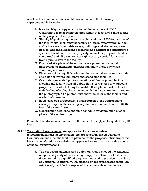wireless telecommunications facilities shall include the following supplemental information:

- A. Location Map: a copy of a portion of the most recent USGS Quadrangle map showing the area within at least a two-mile radius of the proposed facility site.
- B. Vicinity Map showing the entire vicinity within a 2500-foot radius of the facility site, including the facility or tower, topography, public and private roads and driveways, buildings and structures, water bodies, wetlands, landscape features, and habitats for endangered species. It shall indicate the property lines of the proposed facility site parcel and all easements or rights of way needed for access from a public way to the facility.
- C. Proposed site plans of the entire development indicating all improvements including landscaping, utility lines, guy wires, screening and roads.
- D. Elevations showing all facades and indicating all exterior materials and color of towers, buildings and associated facilities.
- E. Computer generated photo simulations of the proposed facility showing the facility from all public rights-of-way and any adjacent property from which it may be visible. Each photo must be labeled with the line of sight, elevation and with the date taken imprinted on the photograph. The photos must show the color of the facility and method of screening.
- F. In the case of a proposed site that is forested, the approximate average height of the existing vegetation within two hundred (200) feet of the tower base.
- G. Construction sequence and time schedule for completion of each phase of the entire project.

Plans shall be drawn at a minimum at the scale of one (1) inch equals fifty (50) feet.

- 324.10 Collocation Requirements: An application for a new wireless telecommunications facility shall not be approved unless the Planning Commission finds that the facilities planned for the proposed structure cannot be accommodated on an existing or approved tower or structure due to one of the following reasons:
	- A. The proposed antennas and equipment would exceed the structural or spatial capacity of the existing or approved tower or facility, as documented by a qualified engineer licensed to practice in the State of Vermont. Additionally, the existing or approved tower cannot be reinforced, modified or replaced to accommodate planned or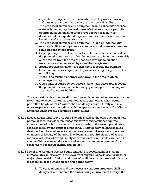equivalent equipment, at a reasonable cost, to provide coverage and capacity comparable to that of the proposed facility.

- B. The proposed antennas and equipment would cause interference materially impacting the usefulness of other existing or permitted equipment at the existing or approved tower or facility as documented by a qualified engineer and such interference cannot be mitigated at a reasonable cost.
- C. The proposed antennas and equipment, alone or together with existing facilities, equipment or antennas, would create excessive radio frequency exposure.
- D. Existing or approved towers and structures cannot accommodate the planned equipment at a height necessary to function reasonably or are too far from the area of needed coverage to function reasonably as documented by a qualified engineer.
- E. Aesthetic reasons make it unreasonable to locate the planned telecommunications equipment upon an existing or approved tower or building.
- F. There is no existing or approved tower in the area in which coverage is sought.
- G. Other unforeseen specific reasons make it unreasonable to locate the planned telecommunications equipment upon an existing or approved tower or building.

Towers must be designed to allow for future placement of antennas upon the tower and to accept antennas mounted at varying heights when overall permitted height allows. Towers shall be designed structurally and in all other respects to accommodate both the applicant's antennas and additional antennas when overall permitted height allows.

- 324.11 Access Roads and Above Ground Facilities: Where the construction of new personal wireless telecommunications towers and facilities requires construction of or improvement to access roads, to the extent practicable, roads shall follow the contour of the land. Utility or service lines shall be designed and located so as to minimize or prevent disruption to the scenic character or beauty of the area. The Town may require closure of access roads to vehicles following facility construction where it is determined that site conditions warrant the same and where maintenance personnel can reasonably access the facility site on foot.
- 324.12 Tower and Antenna Design Requirements: Proposed facilities shall not unreasonably interfere with the view from any public park, scenic view, or major view corridor. Height and mass of facilities shall not exceed that which is essential for the intended use and public safety.
	- A. Towers, antennas and any necessary support structures shall be designed to blend into the surrounding environment through the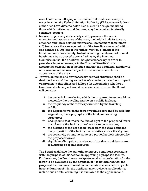use of color camouflaging and architectural treatment, except in cases in which the Federal Aviation Authority (FAA), state or federal authorities have dictated color. Use of stealth design, including those which imitate natural features, may be required in visually sensitive locations.

- B. In order to protect public safety and to preserve the scenic character and appearance of the area, the height limit for towers, antennas and tower-related fixtures shall be not more than fifteen (15) feet above the average height of the tree line measured within one hundred (100) feet of the highest vertical element of the telecommunications facility. Notwithstanding the above, additional height may be approved upon a finding by the Planning Commission that the additional height is necessary in order to provide adequate coverage in the Town of Westfield or to accomplish collocation of facilities and that the additional height will not cause an undue visual impact on the scenic character or appearance of the area.
- C. Towers, antennas and any necessary support structures shall be designed to avoid having an undue adverse impact aesthetic impact on prominent ridgelines and hilltops. In determining whether a tower's aesthetic impact would be undue and adverse, the Board will consider:
	- i. the period of time during which the proposed tower would be viewed by the traveling public on a public highway;
	- ii. the frequency of the view experienced by the traveling public;
	- iii. the degree to which the tower would be screened by existing vegetation, the topography of the land, and existing structures;
	- iv. background features in the line of sight to the proposed tower that obscure the facility or make it more conspicuous;
	- v. the distance of the proposed tower from the view point and the proportion of the facility that is visible above the skyline;
	- vi. the sensitivity or unique value of a particular view affected by the proposed tower;
	- vii. significant disruption of a view corridor that provides context to a historic or scenic resource.

The Board shall have the authority to impose conditions consistent with the purpose of this section in approving a proposed facility. Furthermore, the Board may designate an alternative location for the tower to be evaluated by the applicant if it is determined that the proposed location would result in undue adverse aesthetic impacts. In consideration of this, the applicant may revise its application to include such a site, assuming it is available to the applicant and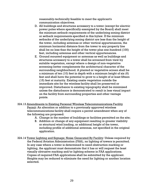reasonably-technically feasible to meet the applicant's communication objectives.

- D. All buildings and structures accessory to a tower (except for electric power poles where specifically exempted by the Board) shall meet the minimum setback requirements of the underlying zoning district or setback requirements specified in this bylaw. If the minimum setbacks of the underlying zoning district are less than the height of the tower, including antennas or other vertical appurtenances, the minimum horizontal distance from the tower to any property line shall be no less than the height of the tower plus one-hundred (100) feet, including antennas and other vertical appurtenances.
- E. Ground mounted equipment or antennas as well as buildings and structures accessory to a tower shall be screened from view by suitable vegetation, except where a design of non-vegetative screening better complements the architectural character of the surrounding neighborhood. A planted or vegetative screen shall be a minimum of ten (10) feet in depth with a minimum height of six (6) feet and shall have the potential to grow to a height of at least fifteen (15) feet at maturity. Existing onsite vegetation outside the immediate site for the wireless facility shall be preserved or improved. Disturbance to existing topography shall be minimized unless the disturbance is demonstrated to result in less visual impact on the facility from surrounding properties and other vantage points.
- 324.13 Amendments to Existing Personal Wireless Telecommunications Facility Permit: An alteration or addition to a previously approved wireless telecommunications facility shall require a permit amendment when any of the following are proposed:
	- A. Change in the number of buildings or facilities permitted on the site;
	- B. Addition or change of any equipment resulting in greater visibility or structural wind loading, or additional height of the tower, including profile of additional antennas, not specified in the original application.
- 324.14 Tower Lighting and Signage; Noise Generated By Facility: Unless required by the Federal Aviation Administration (FAA), no lighting of towers is permitted. In any case where a tower is determined to need obstruction marking or lighting, the applicant must demonstrate that it has or will request the least visually obtrusive marking and/or lighting scheme in FAA applications. Copies of required FAA applications shall be submitted by the applicant. Heights may be reduced to eliminate the need for lighting or another location selected.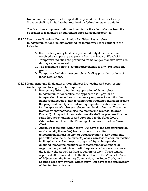No commercial signs or lettering shall be placed on a tower or facility. Signage shall be limited to that required by federal or state regulation.

The Board may impose conditions to minimize the affect of noise from the operation of machinery or equipment upon adjacent properties.

- 324.15 Temporary Wireless Communication Facilities: Any wireless telecommunications facility designed for temporary use is subject to the following:
	- A. Use of a temporary facility is permitted only if the owner has received a temporary use permit from the Town of Westfield.
	- B. Temporary facilities are permitted for no longer than five days use during a special event.
	- C. The maximum height of a temporary facility is fifty (50) feet from grade.
	- D. Temporary facilities must comply with all applicable portions of these regulations.
- 324.16 Monitoring and Evaluation of Compliance: Pre-testing and post-testing (including monitoring) shall be required.
	- A. Pre-testing: Prior to beginning operation of the wireless telecommunication facility, the applicant shall pay for an independent licensed radio frequency engineer to monitor the background levels of non-ionizing radiofrequency radiation around the proposed facility site and/or any repeater locations to be used for the applicant's wireless telecommunication facility. The radio frequency engineer shall use the monitoring protocol (Cobbs Protocol). A report of monitoring results shall be prepared by the radio frequency engineer and submitted to the Selectboard, Administrative Officer, the Planning Commission, and the Town Clerk.
	- B. Annual Post-testing: Within thirty (30) days of the first transmission (and annually thereafter) from any new or modified telecommunications facility, or upon activation of any additional permitted channels, the owner(s) of any wireless telecommunication facility(s) shall submit reports prepared by an independent qualified telecommunications or radiofrequency engineer(s) regarding any non-ionizing radiofrequency radiation exposure at the facility site as well as from repeaters (if any). These annual reports shall be submitted to the Selectboard, the Westfield Board of Adjustment, the Planning Commission, the Town Clerk, and abutting property owners, within thirty (30) days of the anniversary of the first transmission.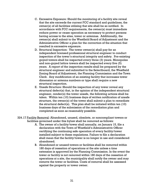- C. Excessive Exposure: Should the monitoring of a facility site reveal that the site exceeds the current FCC standard and guidelines, the owner(s) of all facilities utilizing that site shall be so notified. In accordance with FCC requirements, the owner(s) must immediate reduce power or cease operation as necessary to protect persons having access to the sites, tower or antennas. Additionally, the owner(s) shall submit to the Westfield Board of Adjustment and the Administrative Officer a plan for the correction of the situation that resulted in excessive exposure.
- D. Structural Inspection: The tower owner(s) shall pay for an independent licensed professional structural engineer to conduct inspection of the tower's structural integrity and safety. Pre-existing guyed towers shall be inspected every three (3) years. Monopoles and non-guyed lattice towers shall be inspected every five (5) years. A report of the inspection results shall be prepared by the structural engineer and submitted to the Selectboard, the Westfield Zoning Board of Adjustment, the Planning Commission and the Town Clerk. Any modification of an existing facility that increases tower dimension or antenna numbers or type shall require a new structural inspection.
- E. Unsafe Structure: Should the inspection of any tower reveal any structural defect(s) that, in the opinion of the independent structural engineer, render(s) the tower unsafe, the following actions shall be taken. Within ten (10) business days of written notification of unsafe structure, the owner(s) of the tower shall submit a plan to remediate the structural defect(s). This plan shall be initiated within ten (10) business days of the submission of the remediation plan and completed as soon as reasonably possible.
- 324.17 Facility Removal: Abandoned, unused, obsolete, or noncompliant towers or facilities governed under this bylaw shall be removed as follows:
	- A. The owner of a facility/tower shall annually, on January 15, file a declaration with the Town of Westfield's Administrative Officer certifying the continuing safe operation of every facility/tower installed subject to these regulations. Failure to file a declaration shall mean that the facility/tower is no longer in use and considered abandoned.
	- B. Abandoned or unused towers or facilities shall be removed within 180 days of cessation of operations at the site unless a time extension is approved by the Planning Commission. In the event the tower or facility is not removed within 180 days of the cessation of operations at a site, the municipality shall notify the owner and may remove the tower or facilities. Costs of removal shall be assessed against the property or tower owner.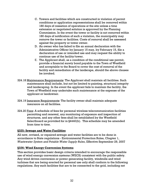- C. Towers and facilities which are constructed in violation of permit conditions or application representations shall be removed within 180 days of cessation of operations at the site unless a time extension or negotiated solution is approved by the Planning Commission. In the event the tower or facility is not removed within 180 days of notification of such a violation, the municipality may remove the tower or facilities. Costs of removal shall be assessed against the property or tower owner.
- D. An owner who has failed to file an annual declaration with the Administrative Officer by January 15 may, by February 15, file a declaration of use or intended use and may request the ability to continue use of the facility/tower.
- E. The Applicant shall, as a condition of the conditional use permit, provide a financial surety bond payable to the Town of Westfield and acceptable to the Board to cover the cost of removal of the facility and remediation of the landscape, should the above clauses be invoked.
- 324.18 Maintenance Requirements: The Applicant shall maintain all facilities. Such maintenance shall include, but not be limited to painting, structural integrity and landscaping. In the event the applicant fails to maintain the facility, the Town of Westfield may undertake such maintenance at the expense of the applicant or landowner.
- 324.19 Insurance Requirements: The facility owner shall maintain adequate insurance on all facilities.
- 324.20 Fees: A schedule of fees for personal wireless telecommunication facilities permitting and renewal, any monitoring of exposure and inspection of structures, and any other fees shall be established by the Westfield Selectboard as provided for in §4440(b). This schedule may be amended from time to time.

## **§325: Sewage and Water Facilities**

All new, revised, or repaired sewage and water facilities are to be done in accordance to State regulations - Environmental Protection Rules, Chapter 1, *Wastewater System and Potable Water Supply Rules*, Effective September 29, 2007

## **§326: Wind Energy Conversion Systems**

This section provides basic design criteria intended to encourage the responsible use of wind energy conversion systems (WECS) consistent with the public safety. Any wind driven conversion or power generating facility, windmills and wind turbines that are being erected for personal use only shall conform to the following regulations. Any such facilities that are to be connected to the grid, including net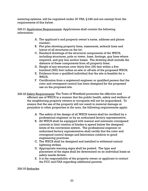metering systems, will be regulated under 30 VSA, § 248 and are exempt from the requirements of this bylaw.

326.01 Application Requirements: Applications shall contain the following information:

- A. The applicant's and property owner's name, address and phone number;
- B. Plot plan showing property lines, easements, setback lines and layout of all structures on the lot;
- C. Standard drawings of the structural components of the WECS, including structures, pole or tower, base, footings, guy lines where required, and guy line anchor bases. The drawing shall include the distance of these components from all property lines;
- D. Height of any structure over thirty-five (35) feet within a five hundred (500) foot radius on-site or off-site of the proposed WECS.
- E. Evidence from a qualified individual that the site is feasible for a WECS.
- F. Certification from a registered engineer or qualified person that the rotor and overspeed control has been designed for the proposed use on the proposed site.
- 326.02 Safety Requirements: The Town of Westfield promotes the effective and efficient use of WECS in a manner that the public health, safety and welfare of the neighboring property owners or occupants will not be jeopardized. To ensure that the use of the property will not result in material damage or prejudice to other properties in the area, the following requirements apply:
	- A. The safety of the design of all WECS towers shall be certified by a professional engineer or by an authorized factory representative;
	- B. All WECS shall be equipped with manual and automatic overspeed controls to limit rotation of blades to speed below the designed limits of the conversion system. The professional engineer or authorized factory representative shall certify that the rotor and overspeed control design and fabrication conform to good engineering practices.
	- C. The WECS shall be designed and installed to withstand natural lightning strikes.
	- D. Appropriate warning signs shall be posted. The type and placement of the signs shall be determined on an individual basis as safety needs dictate.
	- E. It is the responsibility of the property owner or applicant to contact the FCC and FAA regarding additional permits.

326.03 Setbacks: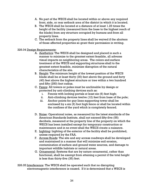- A. No part of the WECS shall be located within or above any required front, side, or rear setback area of the district in which it is located.
- B. The WECS shall be located at a distance of at least 1.25 times the height of the facility (measured form the base to the highest reach of the blade) from any structure occupied by humans and from all property lines.
- C. The setback from the property lines shall be waived if the abutters of those affected properties so grant their permission in writing.

### 326.04 Design Requirements:

- A. Aesthetics: The WECS shall be designed and placed in such a manner to minimize to the greatest extent feasible, all adverse visual impacts on neighboring areas. The colors and surface treatment of the WECS and supporting structures shall to the greatest extent feasible, minimize disruption of the natural characteristics of the site.
- B. Height: The minimum height of the lowest position of the WECS blade shall be at least thirty (30) feet above the ground and forty (40) feet above the highest structure or tree within a two hundred and fifty (250) foot radius.
- C. Fence: All towers or poles must be unclimable by design or protected by anti-climbing devices such as:
	- i. Fences with locking portals at least six (6) feet high;
	- ii. Anti-climbing devices twelve (12) feet from base of the pole;
	- iii. Anchor points for guy lines supporting tower shall be enclosed by a six (6) foot high fence or shall be located within the confines of the yard which is completely fenced.
- D. Noise: Operational noise, as measured by the latest standards of the American Standards Institute, shall not exceed fifty-five (55) decibels, measured at the property line of the property on which the WECS has been installed except for temporary construction or maintenance and in no event shall the WECS create a nuisance.
- E. Lighting: Lighting of the exterior of the facility shall be prohibited, unless required by the FAA.
- F. Access Roads: The site and any access roadways shall be developed and maintained in a manner that will minimize soil erosion, contamination of surface and ground water sources, and damage to important wildlife habitats or natural areas.
- G. Ornamental: Systems that are by nature ornamental, rather than functional, shall be exempt from attaining a permit if the total height is less than thirty-five (35) feet.

326.05 Interference: The WECS shall be operated such that no disrupting electromagnetic interference is caused. If it is determined that a WECS is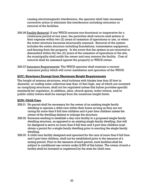causing electromagnetic interference, the operator shall take necessary corrective action to eliminate this interference including relocation or removal of the facilities.

- 326.06 Facility Removal: If any WECS remains non-functional or inoperative for a continuous period of one year, the permittee shall remove said system at their expense within two (2) years of cessation of operations or use, or when the tower structure becomes structurally unsound. Removal of the system includes the entire structure including foundations, transmission equipment, and fencing from the property. In the event that the system is not removed or dismantled within the two (2) years of the cessation of operations at the site, the municipality shall notify the owner and may remove the facility. Cost of removal shall be assessed against the property or WECS owner.
- 326.07 Insurance Requirements: The WECS operator shall maintain a current insurance policy which will cover installation and operation of the WECS.

## **§327: Structures Exempt from Maximum Height Requirements**

The height of antenna structures, wind turbines with blades less than 20 feet in diameter, or rooftop solar collectors less than 10 feet high, any of which are mounted on complying structures, shall not be regulated unless this bylaw provides specific standards for regulation. In addition, silos, church spires, water towers, and/or public utility towers shall be exempt from the maximum height limits.

## **§328: Child Care**

- 328.01 No permit shall be necessary for the owner of an existing single family dwelling to operate a child care within their home as long as they are not caring for more than 6 full time children and 4 part time children unless the owner of the dwelling desires to enlarge the structure.
- 328.02 Someone seeking to establish a day care facility in a proposed single family dwelling structure, as opposed to an existing single family dwelling, that will be designed to serve no more than 6 full time and 4 part time children must obtain a permit for a single family dwelling prior to erecting the single family dwelling.
- 328.03 A child care facility designed and operated for the care of more than 6 full time and 4 part time children, shall not be established prior to the issuance of a zoning permit. Prior to the issuance of such permit, such facilities shall be subject to conditional use review under § 605 of this bylaw. The owner of such a facility shall be licensed or registered by the state for child care.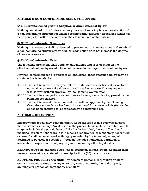## **ARTICLE 4: NON-CONFORMING USES & STRUCTURES**

#### **§401: Permits Issued prior to Adoption or Amendment of Bylaw**

Nothing contained in this bylaw shall require any change in plans or construction of a non-conforming structure for which a zoning permit has been issued and which has been completed within one year from the effective date of this bylaw.

#### **§402: Non-Conforming Structures**

Nothing in this section shall be deemed to prevent normal maintenance and repair of a non-conforming structure provided that such action does not increase the degree of non-conformance.

#### **§403: Non-Conforming Uses**

The following provisions shall apply to all buildings and uses existing on the effective date of this bylaw which do not conform to the requirements of this bylaw.

Any non-conforming use of structures or land except those specified below may be continued indefinitely, but:

- 403.01 Shall not be moved, enlarged, altered, extended, reconstructed, or restored nor shall any external evidence of such use be increased by any means whatsoever, without approval by the Planning Commission.
- 403.02 Shall not be changed to another non-conforming use without approval by the Planning commission.
- 403.03 Shall not be re-established or restored without approval by the Planning Commission if such use has been discontinued for a period of six (6) months, or has been changed to, or replaced by a conforming use.

## **ARTICLE 5: DEFINITIONS**

Except where specifically defined herein, all words used in this bylaw shall carry their customary meaning. Words used in the present tense include the future and the singular includes the plural; the word "lot" includes "plot"; the word "building" includes "structure"; the word "shall" means a requirement is mandatory; "occupied" or "used" shall be considered as though preceded by "or intended, arranged or designed to be used or occupied"; "person" includes individual, partnership, association, corporation, company, organization or any other legal entity.

**ABANDON**: For all land uses other than telecommunications towers, abandon shall mean to leave without claimed ownership for thirty (30) days or more.

**ABUTTING PROPERTY OWNER**: Any person or persons, corporation or other entity that owns, leases, or in any other way uses or controls, the real property abutting any portion of the property of another.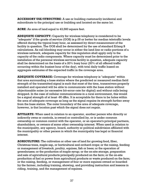**ACCESSORY USE/STRUCTURE**: A use or building customarily incidental and subordinate to the principal use or building and located on the same lot.

**ACRE**: An area of land equal to 43,560 square feet.

**ADEQUATE CAPACITY:** Capacity for wireless telephony is considered to be "adequate" if the grade of service (GOS) is p.05 or better for median teletraffic levels offered during the typical busy hour, as assessed by direct measurement of the facility in question. The GOS shall be determined by the use of standard Erlang B calculations. As call blocking may occur in either the land line or radio portions of a wireless network, adequate capacity for this regulation shall apply only to the capacity of the radio components. Where capacity must be determined prior to the installation of the personal wireless services facility in question, adequate capacity shall be determined on the basis of a 20% busy hour (20% of all offered traffic occurring within the busiest hour of the day), with total daily traffic based on aggregate estimates of the expected traffic in the coverage area.

**ADEQUATE COVERAGE:** Coverage for wireless telephony is "adequate" within that area surrounding a base station where the predicted or measured median field strength of the transmitted signal is such that most of the time, transceivers properly installed and operated will be able to communicate with the base station without objectionable noise (or excessive bit-error-rate for digital) and without calls being dropped. In the case of cellular communications in a rural environment, this would be a signal strength of at least -90 dBm. It is acceptable for there to be holes within the area of adequate coverage as long as the signal regains its strength further away from the base station. The outer boundary of the area of adequate coverage, however, is that location past which the signal does not regain.

**AFFILIATE:** When used in relation to an operator, another person who directly or indirectly owns or controls, is owned or controlled by, or is under common ownership or common control with the operator, or an operator's principal partners, shareholders, or owners of some other ownership interest. When used in relation to the municipality, any agency, board, authority or political subdivision affiliated with the municipality or other person in which the municipality has legal or financial interest.

**AGRICULTURE:** The cultivation or other use of land for growing food, fiber, Christmas trees, maple sap, or horticultural and orchard crops; or the raising, feeding or management of livestock, poultry, equines, fish or bees; or the operation of greenhouses; or the production of maple syrup; or the on-site storage, preparation and sale of agricultural products principally produced on the farm; or the on-site production of fuel or power from agricultural products or waste produced on the farm; or the raising, feeding, or management of four or more equines owned or boarded by the farmer, including training, showing, and providing instruction and lessons in riding, training, and the management of equines.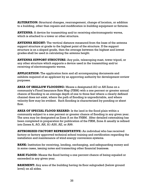**ALTERATION:** Structural changes, rearrangement, change of location, or addition to a building, other than repairs and modification in building equipment or fixtures.

**ANTENNA:** A device for transmitting and/or receiving electromagnetic waves, which is attached to a tower or other structure.

**ANTENNA HEIGHT:** The vertical distance measured from the base of the antenna support structure at grade to the highest point of the structure. If the support structure is on a sloped grade, then the average between the highest and lowest grades shall be used in calculating the antenna height.

**ANTENNA SUPPORT STRUCTURE:** Any pole, telescoping mast, tower tripod, or any other structure which supports a device used in the transmitting and/or receiving of electromagnetic waves.

**APPLICATION:** The application form and all accompanying documents and exhibits required of an applicant by an approving authority for development review purposes.

**AREA OF SHALLOW FLOODING:** Means a designated AO or AH Zone on a community's Flood Insurance Rate Map (FIRM) with a one percent or greater annual chance of flooding to an average depth of one to three feet where a clearly defined channel does not exist, where the path of flooding is unpredictable, and where velocity flow may be evident. Such flooding is characterized by ponding or sheet flow.

**AREA OF SPECIAL FLOOD HAZARD:** Is the land in the flood plain within a community subject to a one percent or greater chance of flooding in any given year. The area may be designated as Zone A on the FHBM. After detailed ratemaking has been completed in preparation for publication of the FIRM, Zone A usually is refined into Zones A, AO, AH, A1-A30, AE, or A99.

**AUTHORIZED FACTORY REPRESENTATIVE:** An individual who has received factory or factory approved technical school training and certification regarding the installation and maintenance of wind energy conversion systems.

**BANK:** Institution for receiving, lending, exchanging, and safeguarding money and in some cases, issuing notes and transacting other financial business.

**BASE FLOOD:** Means the flood having a one percent chance of being equaled or exceeded in any given year.

**BASEMENT:** Any area of the building having its floor subgraded (below ground level) on all sides.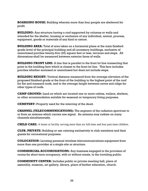**BOARDING HOUSE:** Building wherein more than four people are sheltered for profit.

**BUILDING:** Any structure having a roof supported by columns or walls and intended for the shelter, housing or enclosure of any individual, animal, process, equipment, goods or materials of any kind or nature.

**BUILDING AREA:** Total of area taken on a horizontal plane at the main finished grade level of the principal building and all accessory buildings, exclusive of unenclosed porches twenty-five (25) square feet or less, terraces and steps. All dimensions shall be measured between exterior faces of walls.

**BUILDING FRONT LINE:** A line that is parallel to the front lot line transecting that point in the building face which is closest to the front lot line. This face includes porches whether enclosed or unenclosed but does not include steps.

**BUILDING HEIGHT:** Vertical distance measured from the average elevation of the proposed finished grade at the front of the building to the highest point of the roof for flat and mansard roofs, and to the average height between eaves and ridge for other types of roofs.

**CAMP GROUND:** Land on which are located one or more cabins, trailers, shelters, or other accommodation suitable for seasonal or temporary living purposes.

**CEMETERY:** Property used for the interring of the dead.

**CHANNEL (TELECOMMUNICATIONS):** The segment of the radiation spectrum to or from an antenna which carries one signal. An antenna may radiate on many channels simultaneously.

**CHILD CARE:** A home or facility serving more than six full-time and four part-time children.

**CLUB, PRIVATE:** Building or use catering exclusively to club members and their guests for recreational purposes.

**COLOCATION:** Locating personal wireless telecommunications equipment from more than one provider at a single site or structure.

**COMMERCIAL ACCOMODATIONS:** Any business engaged in the provision of rooms for short-term occupancy, with or without meals, to the traveling public.

**COMMUNITY CENTER:** Includes public or private meeting hall, place of assembly, museum, art gallery, library, place of further education, church.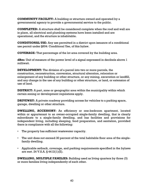**COMMUNITY FACILITY:** A building or structure owned and operated by a governmental agency to provide a governmental service to the public.

**COMPLETED:** A structure shall be considered complete when the roof and wall are in place, all electrical and plumbing systems have been installed and are operational, and the structure is inhabitable.

**CONDITIONAL USE:** Any use permitted in a district upon issuance of a conditional use permit under §604: Conditional Use, of this bylaw.

**COVERAGE:** That percentage of the lot area covered by the building area.

**dBm:** Unit of measure of the power level of a signal expressed in decibels above 1 milliwatt.

**DEVELOPMENT:** The division of a parcel into two or more parcels, the construction, reconstruction, conversion, structural alteration, relocation or enlargement of any building or other structure, or any mining, excavation or landfill, and any change in the use of any building or other structure, or land, or extension of use of land.

**DISTRICT:** A part, zone or geographic area within the municipality within which certain zoning or development regulations apply.

**DRIVEWAY:** A private roadway providing access for vehicles to a parking space, garage, dwelling or other structure.

**DWELLING, ACCESSORY:** An efficiency or one-bedroom apartment, located within or appurtenant to an owner-occupied single-family dwelling, that is clearly subordinate to a single-family dwelling, and has facilities and provisions for independent living, including sleeping, food preparation, and sanitation, provided there is compliance with all the following:

- The property has sufficient wastewater capacity.
- The unit does not exceed 30 percent of the total habitable floor area of the singlefamily dwelling.
- Applicable setback, coverage, and parking requirements specified in the bylaws are met. 24 V.S.A. § 4412(1)(E).

**DWELLING, MULTIPLE FAMILIES:** Building used as living quarters by three (3) or more families living independently of each other.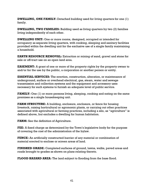**DWELLING, ONE FAMILY:** Detached building used for living quarters for one (1) family.

**DWELLING, TWO FAMILIES:** Building used as living quarters by two (2) families living independently of each other.

**DWELLING UNIT:** One or more rooms, designed, occupied or intended for occupancy as separate living quarters, with cooking, sleeping and sanitary facilities provided within the dwelling unit for the exclusive use of a single family maintaining a household.

**EARTH RESOURCE REMOVAL:** Extraction or mining of sand, gravel and stone for sale or off-tract use on an open land area.

**EASEMENT:** A grant of one or more of the property rights by the property owner to and/or for the use by the public, a corporation or another person or entity.

**ESSENTIAL SERVICES:** The erection, construction, alteration, or maintenance of underground, surface or overhead electrical, gas, steam, water and sewage transmission and collection systems and the equipment and accessory uses necessary for such systems to furnish an adequate level of public service.

**FAMILY:** One (1) or more persons living, sleeping, cooking and eating on the same premises as a single housekeeping unit.

**FARM STRUCTURE:** A building, enclosure, enclosure, or fence for housing livestock, raising horticultural or agronomic plants, or carrying out other practices associated with agricultural or farming practices, including a silo, as "agriculture" is defined above, but excludes a dwelling for human habitation.

**FARM:** See the definition of Agriculture.

**FEE:** A fixed charge as determined by the Town's legislative body for the purpose of covering the cost of the administration of the bylaw.

**FENCE:** An artificially constructed barrier of any material or combination of material erected to enclose or screen areas of land.

**FINISHED GRADE:** Completed surfaces of ground, lawns, walks, paved areas and roads brought to grades as shown on plans relating thereto.

**FLOOD HAZARD AREA:** The land subject to flooding from the base flood.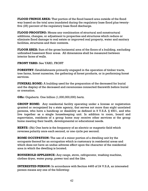**FLOOD FRINGE AREA:** That portion of the flood hazard area outside of the flood way based on the total area inundated during the regulatory base flood plus twentyfive (25) percent of the regulatory base flood discharge.

**FLOOD PROOFING:** Means any combination of structural and nonstructural additions, changes, or adjustment to properties and structures which reduce or eliminate flood damage to real estate or improved real property, water and sanitary facilities, structures and their contents.

**FLOOR AREA:** Sum of the gross horizontal area of the floors of a building, excluding unfinished basement floor areas. All dimensions shall be measured between interior faces of walls.

## **FRONT YARD:** See YARD, FRONT

**FORESTRY:** Establishments primarily engaged in the operation of timber tracts, tree farms, forest nurseries, the gathering of forest products, or in performing forest services.

**FUNERAL HOME:** A building used for the preparation of the deceased for burial and the display of the deceased and ceremonies connected therewith before burial or cremation.

**GHz:** Gigahertz. One billion (1,000,000,000) hertz.

**GROUP HOME:** Any residential facility operating under a license or registration granted or recognized by a state agency, that serves not more than eight unrelated persons, who have a handicap or disability as defined in 9 V.S.A. § 4501, and who live together as a single housekeeping unit. In addition to room, board and supervision, residents of a group home may receive other services at the group home meeting their health, developmental or educational needs.

**HERTZ:** (Hz) One hertz is the frequency of an electric or magnetic field which reverses polarity once each second, or one cycle per second.

**HOME OCCUPATION:** The use of a minor portion of a dwelling unit by the occupants thereof for an occupation which is customary in residential areas and which does not have an undue adverse effect upon the character of the residential area in which the dwelling is located.

**HOUSEHOLD APPLIANCE:** Any range, stove, refrigerator, washing machine, clothes dryer, water pump, power tool and the like.

**INTERESTED PERSON:** In accordance with Section 4465 of 24 V.S.A, an interested person means any one of the following: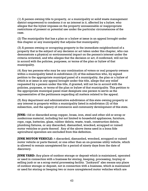(1) A person owning title to property, or a municipality or solid waste management district empowered to condemn it or an interest in it, affected by a bylaw, who alleges that the bylaw imposes on the property unreasonable or inappropriate restrictions of present or potential use under the particular circumstances of the case.

(2) The municipality that has a plan or a bylaw at issue in an appeal brought under this chapter or any municipality that adjoins that municipality.

(3) A person owning or occupying property in the immediate neighborhood of a property that is the subject of any decision or act taken under this chapter, who can demonstrate a physical or environmental impact on the person's interest under the criteria reviewed, and who alleges that the decision or act, if confirmed, will not be in accord with the policies, purposes, or terms of the plan or bylaw of that municipality.

(4) Any ten persons who may be any combination of voters or real property owners within a municipality listed in subdivision (2) of this subsection who, by signed petition to the appropriate municipal panel of a municipality, the plan or a bylaw of which is at issue in any appeal brought under this title, allege that any relief requested by a person under this title, if granted, will not be in accord with the policies, purposes, or terms of the plan or bylaw of that municipality. This petition to the appropriate municipal panel must designate one person to serve as the representative of the petitioners regarding all matters related to the appeal.

(5) Any department and administrative subdivision of this state owning property or any interest in property within a municipality listed in subdivision (2) of this subsection, and the agency of commerce and community development of this state.

**JUNK:** Old or discarded scrap copper, brass, iron, steel and other old or scrap or nonferrous material, including but not limited to household appliances, furniture, rope, rags, batteries, glass, rubber debris, waste, trash, construction debris, plumbing fixtures, or any discarded, dismantled, wrecked, scrapped or ruined motor vehicles or parts thereof. Any of the above items used in a bona fide agricultural operation are excluded from this definition.

**JUNK MOTOR VEHICLE:** A discarded, dismantled, wrecked, scrapped or ruined motor vehicle or parts thereof, or one other than an on-premise utility vehicle, which is allowed to remain unregistered for a period of ninety days from the date of discovery.

**JUNK YARD:** Any place of outdoor storage or deposit which is maintained, operated or used in connection with a business for storing, keeping, processing, buying or selling junk or as a scrap metal processing facility. "Junkyard" also means any place of outdoor storage or deposit, not in connection with a business, which is maintained or used for storing or keeping two or more unregistered motor vehicles which are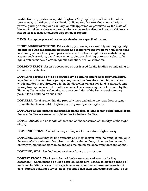visible from any portion of a public highway (any highway, road, street or other public way, regardless of classification). However, the term does not include a private garbage dump or a sanitary landfill approved or permitted by the State of Vermont. It does not mean a garage where wrecked or disabled motor vehicles are stored for less than 90 days for inspection or repairs.

**LAND:** A singular piece of real estate deeded to a specified owner.

**LIGHT MANUFACTURING:** Fabrication, processing or assembly employing only electric or other substantially noiseless and inoffensive motive power, utilizing hand labor or quiet machinery and processes, and free from neighborhood-disturbing agents, such as odors, gas, fumes, smoke, cinders, flashing or excessively bright lights, refuse matter, electromagnetic radiation, heat or vibration.

**LOADING SPACE:** An off-street space or berth used for the loading or unloading of commercial vehicles.

**LOT:** Land occupied or to be occupied by a building and its accessory buildings, together with the required open spaces, having not less than the minimum area, width and depth required for a lot in the district in which such land is situated, and having frontage on a street, or other means of access as may be determined by the Planning Commission to be adequate as a condition of the issuance of a zoning permit for a building on such land.

**LOT AREA:** Total area within the property lines excluding any part thereof lying within the limits of a public highway or proposed public highway.

**LOT DEPTH:** The distance measured from the front lot line to that point farthest from the front lot line measured at right angles to the front lot line.

**LOT FRONTAGE:** The length of the front lot line measured at the edge of the rightof-way.

**LOT LINE FRONT:** That lot line separating a lot from a street right-of-way.

**LOT LINE, REAR:** That lot line opposite and most distant from the front lot line; or in the case of triangular or otherwise irregularly shaped lots, a line ten feet in length entirely within the lot, parallel to and at a maximum distance from the front lot line.

**LOT LINE, SIDE:** Any lot line other than a front or rear lot line.

**LOWEST FLOOR:** The lowest floor of the lowest enclosed area (including basement). An unfinished or flood resistant enclosure, usable solely for parking of vehicles, building access or storage in an area other than a basement area is not considered a building's lowest floor; provided that such enclosure is not built so as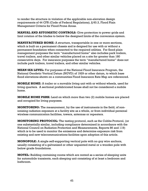to render the structure in violation of the applicable non-elevation design requirements of 44 CFR (Code of Federal Regulations), § 60.3, Flood Plain Management Criteria for Flood Prone Areas.

**MANUAL AND AUTOMATIC CONTROLS:** Give protection to power grids and limit rotation of the blades to below the designed limits of the conversion system.

**MANUFACTURED HOME:** A structure, transportable in one or more sections, which is built on a permanent chassis and is deigned for use with or without a permanent foundation when connected to the required utilities. For flood plain management purposes the term "manufactured home" also includes park trailers, travel trailers, and other similar vehicles placed on a site for greater than 180 consecutive days. For insurance purposes the term "manufactured home" does not include park trailers, travel trailers, and other similar vehicles.

**MEAN SEA LEVEL:** For purposes of the National Flood Insurance Program, the National Geodetic Vertical Datum (NGVD) of 1929 or other datum, to which base flood elevations shown on a communities Flood Insurance Rate Map are referenced.

**MOBILE HOME:** A trailer or a movable living unit with or without wheels, used for living quarters. A sectional prefabricated house shall not be considered a mobile home.

**MOBILE HOME PARK:** Land on which more than two (2) mobile homes are placed and occupied for living purposes.

**MONITORING:** The measurement, by the use of instruments in the field, of nonionizing radiation exposure at a facility site as a whole, or from individual personal wireless communication facilities, towers, antennas or repeaters.

**MONITORING PROTOCOL:** The testing protocol, such as the Cobbs Protocol, (or one substantially similar, including compliance determined in accordance with the National Council on Radiation Protection and Measurements, Reports 86 and 119) which is to be used to monitor the emissions and determine exposure risk from existing and new telecommunications facilities upon adoption of this article.

**MONOPOLE:** A single self-supporting vertical pole with no guy wire anchors, usually consisting of a galvanized or other unpainted metal or a wooden pole with below grade foundations.

**MOTEL:** Building containing rooms which are rented as a series of sleeping units for automobile transients, each sleeping unit consisting of at least a bedroom and bathroom.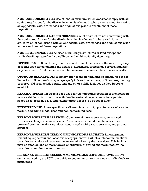**NON-CONFORMING USE:** Use of land or structure which does not comply with all zoning regulations for the district in which it is located, where such use conformed to all applicable laws, ordinances and regulations prior to enactment of those regulations.

**NON-CONFORMING LOT or STRUCTURE:** A lot or structure not conforming with the zoning regulations for the district in which it is located, where such lot or structure or lot conformed with all applicable laws, ordinances and regulations prior to the enactment of these regulations.

**NON-RESIDENTIAL USE:** All uses of buildings, structures or land except onefamily dwellings, two-family dwellings, and multiple-family dwellings.

**OFFICE SPACE:** Sum of the gross horizontal area of the floors of the room or group of rooms used for conducting the affairs of a business, profession, service, industry, or government. All dimensions shall be measured between interior faces of walls.

**OUTDOOR RECREATION:** A facility open to the general public, including but not limited to golf course driving range, golf pitch and putt course, golf courses, hunting preserve, ski area, tennis courts, and any other public facilities as they become available.

**PARKING SPACE:** Off-street space used for the temporary location of one licensed motor vehicle, which conforms with the dimensional requirements for a parking space as set forth in § 313, and having direct access to a street or alley.

**PERMITTED USE:** A use specifically allowed in a district; upon issuance of a zoning permit, excluding illegal uses and non-conforming uses.

**PERSONAL WIRELESS SERVICES:** Commercial mobile services, unlicensed wireless exchange access services. These services include: cellular services, personal communications services, specialized mobile radio services, and paging services.

**PERSONAL WIRELESS TELECOMMUNICATIONS FACILITY:** All equipment (including repeaters) and locations of equipment with which a telecommunications provider transmits and receives the waves which carry their services. This facility may be sited on one or more towers or structure(s) owned and permitted by the provider or another owner or entity.

**PERSONAL WIRELESS TELECOMMUNICATIONS SERVICE PROVIDER:** An entity licensed by the FCC to provide telecommunications services to individuals or institutions.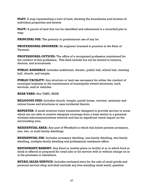**PLAT:** A map representing a tract of land, showing the boundaries and location of individual properties and streets.

**PLOT:** A parcel of land that can be identified and referenced to a recorded plat or map.

**PRINCIPAL USE:** The primary or predominant use of any lot.

**PROFESSIONAL ENGINEER:** An engineer licensed to practice in the State of Vermont.

**PROFESSIONAL OFFICES:** The office of a recognized profession maintained for the conduct of that profession. This shall include but not be limited to lawyers, doctors, and accountants.

**PUBLIC ASSEMBLY:** Includes auditorium, theater, public hall, school hall, meeting hall, church, and temple.

**PUBLIC FACILITY:** Any structure or land use necessary for either the conduct of municipal business or the maintenance of municipally owned structures, land, services, and/or vehicles.

## **REAR YARD:** See YARD, REAR

**RELIGIOUS USES:** Includes church, temple, parish house, convent, seminary and retreat house and structures or uses incidental thereto.

**REPEATER:** A small receiver/relay transmitter designed to provide service to areas which are not able to receive adequate coverage from a base station in a personal wireless telecommunications network and has no significant visual impact on the surrounding area.

**RESIDENTIAL AREA:** Any part of Westfield in which this bylaw permits accessory, one, two, or multi family dwellings.

**RESIDENTIAL USE:** Includes accessory dwelling, one-family dwelling, two-family dwelling, multiple-family dwelling and professional residence-office.

**RESTAURANT/BAKERY:** Any fixed or mobile place or facility at or in which food or drink is offered or prepared for retail sale or for service with or without charge on or at the premises or elsewhere.

**RETAIL SALES/SERVICE:** Includes enclosed store for the sale of retail goods and personal service shop and shall exclude any free-standing retail stand, gasoline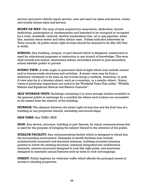service and motor vehicle repair service, new and used car sales and service, trailer and mobile homes sales and service.

**RIGHT-OF-WAY:** The strip of land acquired by reservation, dedication, forced dedication, prescription or condemnation and intended to be occupied or occupied by a road, crosswalk, railroad, electric transmission line, oil or gas pipeline, water line, sanitary storm sewer and other similar uses. Unless indicated otherwise by Town records, all public street right-of-ways should be deemed to be fifty (50) feet in width.

**SCHOOL:** Any building, campus, or part thereof which is designed, constructed or used for educational purposes or instruction in any branch of knowledge. This term shall include pre-school, elementary school, secondary school or post-secondary school whether public or private.

**SCENIC VIEW:** A wide angle or panoramic field of sight which may include natural and/or human-made structures and activities. A scenic view may be from a stationary viewpoint or be seen as one travels along a roadway, waterway, or path. A view may be to a faraway object, such as a mountain, or a nearby object. Scenic views of particular importance are noted in the Westfield Town Plan under "Wildlife Habitat and Significant Natural and Historic Features".

**SELF STORAGE UNITS:** Buildings containing 2 or more storage lockers available to the general public in exchange for a monthly fee where such lockers are accessible to the lessee from the exterior of the building.

**SETBACK:** The distance between the street right-of-way line and the front line of a building or any projection thereof, excluding uncovered steps.

## **SIDE YARD:** See YARD, SIDE

**SIGN:** Any device, structure, building or part thereof, for visual communications that is used for the purpose of bringing the subject thereof to the attention of the public.

**STEALTH FACILITY:** Any communications facility which is designed to blend into the surrounding environment. Examples of stealth facilities may include architecturally screened roof-mounted antennas, building-mounted antennas painted to match the existing structure, antennas integrated into architectural elements, antenna structures designed to look like light poles, and structures designed to resemble natural features such as trees or rock outcroppings.

**STREET:** Public highway for vehicular traffic which affords the principal means of access to abutting properties.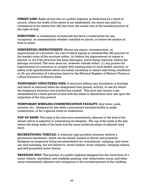**STREET LINE:** Right-of-way line of a public highway as dedicated by a deed of record, where the width of the street is not established, the street line shall be considered to be twenty-five (25) feet from the center line of the traveled portion of the right-of-way.

**STRUCTURE:** A combination of materials that form a construction for use, occupancy, or ornamentation whether installed on above, or below the surface of land or water.

**SUBSTANTIAL IMPROVEMENT:** Means any repair, reconstruction, or improvement of a structure, the cost of which equals or exceeds fifty (50) percent of the market value of the structure either; (a) before the improvement or repair is started, or (b) if the structure has been damaged, and is being restored, before the damage occurred. The term does not, however include either; (1) any project for improvement of a structure to comply with existing state or local health, sanitary, or safety code specifications which are solely necessary to assure safe living conditions or (2) any alteration of a structure listed on the National Register of Historic Places or a State Inventory of Historic Sites.

**TEMPORARY STRUCTURES/USES:** A structure without any foundation or footings and which is removed when the designated time period, activity, or use for which the temporary structure was erected has ceased. This term also means a use established for a fixed period of time with the intent to discontinue such use upon the expiration of the time period.

**TEMPORARY WIRELESS COMMUNICATION FACILITY:** Any tower, pole, antenna, etc., designed for use while a permanent wireless facility is under construction, or for a special event or conference.

**TOP OF BANK:** The bank is the land area immediately adjacent to the bed of the stream which is essential in maintaining its integrity. The top of the bank is the line where the steep walls of the bank and the more moderate slope of adjacent land meet.

**RECREATIONAL VEHICLE:** A vehicular type portable structure without a permanent foundation, which can be towed, hauled or driven and primarily designed as temporary living accommodation for recreational, camping, and travel use and including, but not limited to, travel trailers, truck campers, camping trailers, and self-propelled motor homes.

**TRAVELED WAY:** That portion of a public highway designed for the movement of a motor vehicle, shoulders, and roadside parking, rest, observation areas, and other areas immediately adjacent and contiguous to the traveled portion of the roadway.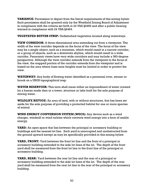**VARIANCE:** Permission to depart from the literal requirements of this zoning bylaw. Such permission shall be granted only by the Westfield Zoning Board of Adjustment in compliance with the criteria set forth in 24 VSA §4469 and after a public hearing warned in compliance with 24 VSA §4464.

**VEGETATED BUFFER STRIP:** Undisturbed vegetation located along waterways.

**VIEW CORRIDOR:** A three-dimensional area extending out from a viewpoint. The width of the view corridor depends on the focus of the view. The focus of the view may be a single object, such as a mountain, which would result in a narrow corridor, or a group of objects, such as a downtown skyline, which would result in a wide corridor. Panoramic views have very wide corridors and may include a 360-degree perspective. Although the view corridor extends from the viewpoint to the focus of the view, the mapped portion of the corridor extends from the viewpoint and is based on the area where base zone heights must be limited in order to protect the view.

**WATERWAY:** Any body of flowing water identified as a perennial river, stream or brook on a USGS topographical map.

**WATER RESERVOIR:** This term shall mean either an impoundment of water created by a human made dam or a tower, structure or lake built for the sole purpose of storing water.

**WILDLIFE REFUGE:** An area of land, with or without structures, that has been set aside for the sole purpose of providing a protected habitat for one or more species of animal.

**WIND ENERGY CONVERSION SYSTEM (WECS):** Any device such as a wind charger, windmill or wind turbine which converts wind energy into a form of usable energy.

**YARD:** An open space that lies between the principal or accessory building or buildings and the nearest lot line. Such yard is unoccupied and unobstructed from the ground upward except as may be specifically provided in this zoning bylaw.

**YARD, FRONT:** Yard between the front lot line and the front of a principal or accessory building extended to the side lot lines of the lot. The depth of the front yard shall be measured from the front lot line to the front line of the principal or accessory building.

**YARD, REAR:** Yard between the rear lot line and the rear of a principal or accessory building extended to the side lot lines of the lot. The depth of the rear yard shall be measured from the rear lot line to the rear of the principal or accessory building.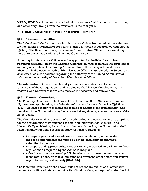**YARD, SIDE:** Yard between the principal or accessory building and a side lot line, and extending through from the front yard to the rear yard.

## **ARTICLE 6: ADMINISTRATION AND ENFORCEMENT**

## **§601: Administrative Officer**

The Selectboard shall appoint an Administrative Officer from nominations submitted by the Planning Commission for a term of three (3) years in accordance with the Act [§4448]. The Selectboard may remove an Administrative Officer for cause at any time after consultation with the Planning Commission.

An acting Administrative Officer may be appointed by the Selectboard, from nominations submitted by the Planning Commission, who shall have the same duties and responsibilities of the Zoning Administrator in the Zoning Administrator's absence. In the event an acting Administrative Officer is appointed, the Selectboard shall establish clear policies regarding the authority of the Zoning Administrator relative to the authority of the acting Administrative Officer.

The Administrator Officer shall literally administer and strictly enforce the provisions of these regulations, and in doing so shall inspect development, maintain records, and perform other related tasks as is necessary and appropriate.

## **§602: Planning Commission**

The Planning Commission shall consist of not less than three (3) or more than nine (9) members appointed by the Selectboard in accordance with the Act [§§4321– 4323]. At least a majority of members shall be residents of the municipality. Any member of the Commission may be removed at any time by a unanimous vote of the Selectboard.

The Commission shall adopt rules of procedure deemed necessary and appropriate for the performance of its functions as required under the Act [§4323(b)] and Vermont's Open Meeting Laws. In accordance with the Act, the Commission shall have the following duties in association with these regulations:

- to prepare proposed amendments to these regulations, and consider proposed amendments submitted by others, including amendments submitted by petition;
- to prepare and approve written reports on any proposed amendment to these regulations as required by the Act  $[§4441(c)]$ ; and
- to hold one or more warned public hearings on proposed amendments to these regulations, prior to submission of a proposed amendment and written report to the Legislative Body [§4441(d)].

The Planning Commission shall adopt rules of procedure and rules of ethics with respect to conflicts of interest to guide its official conduct, as required under the Act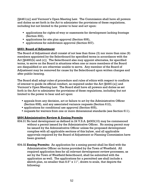[§4461(a)] and Vermont's Open Meeting Law. The Commission shall have all powers and duties as set forth in the Act to administer the provisions of these regulations, including but not limited to the power to hear and act upon:

- applications for rights-of-way or easements for development lacking frontage (Section 302),
- **applications for site plan approval (Section 606),**
- **applications for subdivision approval (Section 607).**

## **§603: Board of Adjustment**

The Board of Adjustment shall consist of not less than three (3) nor more than nine (9) members appointed by the Selectboard for specified terms in accordance with the Act [§4460(b) and (c)]. The Selectboard also may appoint alternates, for specified terms, to serve on the Board in situations when one or more members of the Board are disqualified or are otherwise unable to serve.Any member of the Board of Adjustment may be removed for cause by the Selectboard upon written charges and after public hearing.

The Board shall adopt rules of procedure and rules of ethics with respect to conflicts of interest to guide its official conduct, as required under the Act [§4461(a)] and Vermont's Open Meeting Law. The Board shall have all powers and duties as set forth in the Act to administer the provisions of these regulations, including but not limited to the power to hear and act upon:

- appeals from any decision, act or failure to act by the Administrative Officer (Section 608), and any associated variance requests (Section 612),
- applications for conditional use approval (Section 605),
- **requests for waivers from one or more dimensional standards (see Section 611).**

## **§604 Administrative Review & Zoning Permits**

- 604.01 No land development as defined in 24 V.S.A. §4303(10) may be commenced without a permit issued by the Administrative Officer. No zoning permit may be issued by the Administrative Officer unless the proposed development complies with all applicable sections of this bylaw, and all applicable approvals required by the Board of Adjustment or Planning Commission have been granted.
- 604.02 **Zoning Permits:** An application for a zoning permit shall be filed with the Administrative Officer on forms provided by the Town of Westfield. All required application fees for all relevant development review processes, as set by the Town of Westfield Selectboard, shall be submitted with the application as well. The applications for a permitted use shall include a sketch plan, no smaller than  $8.5$ "  $x$   $11$ ", drawn to scale, that depicts the following: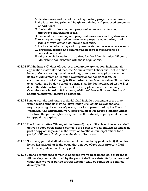- A. the dimensions of the lot, including existing property boundaries,
- B. the location, footprint and height or existing and proposed structures or additions;
- C. the location of existing and proposed accesses (curb cuts), driveways and parking areas,
- D. the location of existing and proposed easements and rights-of-way,
- E. existing and required setbacks from property boundaries, road rights-of-way, surface waters and wetlands,
- F. the location of existing and proposed water and wastewater systems,
- G. proposed erosion and sedimentation control measures to be undertaken; and,
- H. other such information as required by the Administrative Officer to determine conformance with these regulations.
- 604.03 Within thirty (30) days of receipt of a complete application, including all application materials and fees, the Administrative Officer shall act to either issue or deny a zoning permit in writing, or to refer the application to the Board of Adjustment or Planning Commission for consideration. In accordance with 24 V.S.A. §§4448 and 4449, if the Administrative Officer fails to act within the 30-day period, a permit shall be deemed issued on the 31st day. If the Administrator Officer refers the application to the Planning Commission or Board of Adjustment, additional fees will be required, and additional information may be required.
- 604.04 Zoning permits and letters of denial shall include a statement of the time within which appeals may be taken under §608 of this bylaw; and shall require posting of a notice of permit, on a form prescribed by the Town of Westfield. The Administrative Officer shall post this notice of permit within view from the public right-of-way nearest the subject property until the time for appeal has expired.
- 604.05 The Administrative Officer, within three (3) days of the date of issuance, shall deliver a copy of the zoning permit to the Town of Westfield Listers; and shall post a copy of the permit in the Town of Westfield municipal offices for a period of fifteen (15) days from the date of issuance.
- 604.06 No zoning permit shall take effect until the time for appeal under §608 of this bylaw has passed, or in the event that a notice of appeal is properly filed, until final adjudication of the appeal.
- 604.07 Zoning permits shall remain in effect for two years from the date of issuance. All development authorized by the permit shall be substantially commenced within this two-year period or reapplication shall be required to continue development.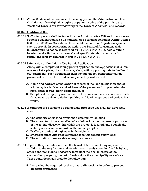604.08 Within 30 days of the issuance of a zoning permit, the Administrative Officer shall deliver the original, a legible copy, or a notice of the permit to the Westfield Town Clerk for recording in the Town of Westfield land records.

#### **§605: Conditional Use**

- 605.01 No Zoning permit shall be issued by the Administrative Officer for any use or structure which requires a Conditional Use permit specified in District Tables 205.01 to 205.03 as Conditional Uses, until the Board of Adjustment grants such approval. In considering its action, the Board of Adjustment shall, following public notice as required by 24 VSA,  $\S$ 4464(a)(1), hold a public hearing, make findings on general and specific standards, and attach conditions as provided herein and in 24 VSA, §4414(3).
- 605.02 Submission of Conditional Use Permit Application:

Along with a completed zoning permit application, the applicant shall submit one set of site plans, drawn to scale, along with supporting data to the Board of Adjustment. Such application shall include the following information presented in drawn form and accompanied by written text:

- A. Name and address of the owner of record of the land in question and of adjoining lands. Name and address of the person or firm preparing the map, scale of map, north point and date;
- B. Site plan showing proposed structure locations and land use areas, streets, driveways, traffic circulation, parking and loading spaces and pedestrian walks.
- 605.03 In order for the permit to be granted the proposed use shall not adversely affect:
	- A. The capacity of existing or planned community facilities.
	- B. The character of the area affected as defined by the purpose or purposes of the zoning district within which the project is located, and specifically stated policies and standards of the municipal plan.
	- C. Traffic on roads and highways in the vicinity.
	- D. Bylaws in effect with special reference to this zoning bylaw, and;
	- E. The utilization of renewable energy resources.
- 605.04 In permitting a conditional use, the Board of Adjustment may impose, in addition to the regulations and standards expressly specified by this bylaw, other conditions found necessary to protect the best interests of the surrounding property, the neighborhood, or the municipality as a whole. These conditions may include the following:
	- A. Increasing the required lot size or yard dimensions in order to protect adjacent properties.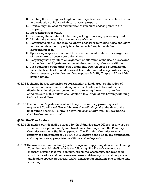- B. Limiting the coverage or height of buildings because of obstruction to view and reduction of light and air to adjacent property.
- C. Controlling the location and number of vehicular access points to the property.
- D. Increasing street width.
- E. Increasing the number of off-street parking or loading spaces required.
- F. Limiting the number, location and size of signs.
- G. Requiring suitable landscaping where necessary to reduce noise and glare and to maintain the property in a character in keeping with the surrounding area.
- H. Specifying a specific time limit for construction, alteration, or enlargement of a structure to house a conditional use.
- I. Requiring that any future enlargement or alteration of the use be reviewed by the Board of Adjustment to permit the specifying of new conditions.
- J. As a condition of the grant of a Conditional Use, the Board of Adjustment may attach such additional reasonable conditions and safeguards as it may deem necessary to implement the purposes 24 VSA, Chapter 117 and this zoning bylaw.
- 605.05 A change in use, expansion or construction of land, area, or alteration of structures or uses which are designated as Conditional Uses within the district in which they are located and are existing therein, prior to the effective date of this bylaw, shall conform to all regulations herein pertaining to Conditional Uses.
- 605.06 The Board of Adjustment shall act to approve or disapprove any such requested Conditional Use within forty-five (45) days after the date of the final public hearing. Failure to act within such a forty-five (45) day period shall be deemed approval.

## **§606: Site Plan Review**

- 606.01 No zoning permit shall be issued by the Administrative Officer for any use or structure, except one-family and two-family dwellings, until the Planning Commission grants Site Plan approval. The Planning Commission shall conform to requirement of 24 VSA, §4416 before acting upon any application, and may impose appropriate conditions and safeguards.
- 606.02 The owner shall submit two (2) sets of maps and supporting data to the Planning Commission which shall include the following: Site Plans drawn to scale showing; existing features, contours, structures, easements, and proposed structure locations and land use areas, streets, driveways, circulation, parking and loading spaces, pedestrian walks, landscaping, including site grading and screening.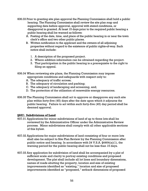- 606.03 Prior to granting site plan approval the Planning Commission shall hold a public hearing. The Planning Commission shall review the site plan map and supporting data before approval, approval with stated conditions, or disapproval is granted. At least 15 days prior to the required public hearing a public hearing shall be warned as follows:
	- A. Posting of the date, time, and place of the public hearing in or near the town clerk's office and two other public places.
	- B. Written notification to the applicant and the owners of all adjoining properties without regard to the existence of public rights-of-way. Such notice shall include:
		- 1. A description of the proposed project.
		- 2. Where addition information can be obtained regarding the project.
		- 3. That participation in the public hearing is a prerequisite to the right to filing an appeal.

606.04 When reviewing site plans, the Planning Commission may impose appropriate conditions and safeguards with respect only to:

- A. The adequacy of traffic access;
- B. The adequacy of circulation and parking;
- C. The adequacy of landscaping and screening, and;
- D. The protection of the utilization of renewable energy resources.
- 606.05 The Planning Commission shall act to approve or disapprove any such site plan within forty-five (45) days after the date upon which it adjourns the public hearing. Failure to act within such forty-five (45) day period shall be deemed approval.

#### **§607: Subdivisions of Land**

- 607.01 Applications for minor subdivisions of land of up to three lots shall be reviewed by the Administrative Officer under the Administrative Review process. Minor subdivisions shall comply with all other applicable sections of this bylaw.
- 607.02 Applications for major subdivisions of land consisting of four or more lots shall also be subject to Site Plan Review by the Planning Commission after public notice and hearing. In accordance with 24 V.S.A. §4464(a)(1), the warning period for the public hearing shall not be less than 15 days.
- 607.03 Any application for subdivision of land shall be accompanied by a plat of sufficient scale and clarity to portray existing conditions and proposed development. The plat shall include all lot lines and boundary dimensions, names of roads abutting the property, location and size of existing improvements identified as "existing," location and size of proposed improvements identified as "proposed," setback dimensions of proposed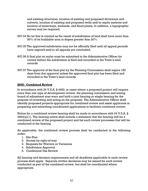and existing structures, location of existing and proposed driveways and culverts, location of existing and proposed wells and/or septic systems and location of waterways, wetlands, and flood plains. In addition, a topographic survey may be required.

- 607.04 No lot that is created as the result of subdivision of land shall have more than 50% of its buildable area in slopes greater than 20%.
- 607.05 The approved subdivision may not be officially filed until all appeal periods have expired and/or all appeals are concluded.
- 607.06 A final plat on mylar must be submitted to the Administrative Officer for review before the subdivision is filed and recorded in the Town's land records.
- 607.07 The approval of the final plat by the Planning Commission shall expire 180 days from that approval unless the approved final plat has been filed and recorded in the Town's land records.

## **§608: Combined Review**

In accordance with 24 V.S.A. § 4462, in cases where a proposed project will require more than one type of development review, the planning commission and zoning board of adjustment may warn and hold a joint hearing or single hearing for the purpose of reviewing and acting on the proposal. The Administrative Officer shall identify proposed projects appropriate for combined review and assist applicants in preparing and submitting coordinated applications to facilitate combined review.

Notice for a combined review hearing shall be made in accordance with 24 V.S.A. §  $4464(a)(1)$ . The hearing notice shall include a statement that the hearing will be a combined review of the proposed project and list each review processes that will be conducted at the hearing.

As applicable, the combined review process shall be conducted in the following order:

- 1. Site Plan
- 2. Access by right-of-way
- 3. Requests for Waivers or Variances
- 4. Subdivision Approval
- 5. Conditional Use Review

All hearing and decision requirements and all deadlines applicable to each review process shall apply. Separate written decisions may be issued for each review conducted as part of the combined review, but shall be coordinated where appropriate.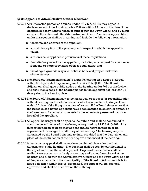#### **§609: Appeals of Administrative Officer Decisions**

- 609.01 Any interested person as defined under 24 V.S.A. §4465 may appeal a decision or act of the Administrative Officer within 15 days of the date of the decision or act by filing a notice of appeal with the Town Clerk, and by filing a copy of the notice with the Administrative Officer. A notice of appeal filed under this section shall be in writing and include the following information:
	- o the name and address of the appellant,
	- $\circ$  a brief description of the property with respect to which the appeal is taken,
	- o a reference to applicable provisions of these regulations,
	- o the relief requested by the appellant, including any request for a variance from one or more provisions of these regulations, and
	- o the alleged grounds why such relief is believed proper under the circumstances.
- 609.02 The Board of Adjustment shall hold a public hearing on a notice of appeal within 60 days of its filing, as required in 24 V.S.A. §4468. The Board of Adjustment shall give public notice of the hearing under §611 of this bylaw, and shall mail a copy of the hearing notice to the appellant not less than 15 days prior to the hearing date.
- 609.03 The Board of Adjustment may reject an appeal or request for reconsideration without hearing, and render a decision which shall include findings of fact within 10 days of the filing of a notice of appeal, if the Board determines that the issues raised by the appellant have been decided in an earlier appeal or are based on substantially or materially the same facts presented by or on behalf of the appellant.
- 609.04 All appeal hearings shall be open to the public and shall be conducted in accordance with rules of procedures, as required by 24 V.S.A. §4461. Any interested person or body may appear and be heard in person or be represented by an agent or attorney at the hearing. The hearing may be adjourned by the Board from time to time, provided that the date, time, and place of the continuation of the hearing are announced at the hearing.
- 609.05 A decision on appeal shall be rendered within 45 days after the final adjournment of the hearing. The decision shall be sent by certified mail to the appellant within the 45 day period. Copies of the decision shall be mailed to every person or body appearing and having been heard at the hearing, and filed with the Administrative Officer and the Town Clerk as part of the public records of the municipality. If the Board of Adjustment fails to issue a decision within this 45-day period, the appeal will be deemed approved and shall be effective on the 46th day.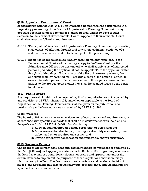## **§610: Appeals to Environmental Court**

In accordance with the Act [§4471], an interested person who has participated in a regulatory proceeding of the Board of Adjustment or Planning Commission may appeal a decision rendered by either of those bodies, within 30 days of such decision, to the Vermont Environmental Court. Appeals to Environmental Court shall also meet the following requirements:

- 610.01 "Participation" in a Board of Adjustment or Planning Commission proceeding shall consist of offering, through oral or written testimony, evidence of a statement of concern related to the subject of the proceeding.
- 610.02 The notice of appeal shall be filed by certified mailing, with fees, to the Environmental Court and by mailing a copy to the Town Clerk, or the Administrative Officer if so designated, who shall supply a list of interested persons (including the applicant if not the appellant), to the appellant within five (5) working days. Upon receipt of the list of interested persons, the appellant shall, by certified mail, provide a copy of the notice of appeal to every interested person. If any one or more of those persons are not then parties to the appeal, upon motion they shall be granted leave by the court to intervene.

### **§611: Public Notice**

Any requirement of public notice required by this bylaw, whether or not required by any provision of 24 VSA, Chapter 117, and whether applicable to the Board of Adjustment or the Planning Commission, shall be given by the publication and posting of a public hearing notice as required by 24 VSA, § 4464.

#### **§612: Waivers**

The Board of Adjustment may grant waivers to reduce dimensional requirements, in accordance with specific standards that shall be in conformance with the plan and the goals set forth in 24 V.S.A. §4302. Standards may:

- (1) Allow mitigation through design, screening, or other remedy;
- (2) Allow waivers for structures providing for disability accessibility, fire safety, and other requirements of law; and
- (3) Provide for energy conservation and renewable energy structures.

## **§613**: **Variance Criteria**

The Board of Adjustment shall hear and decide requests for variances as required by the Act [§4469(a)] and appeal procedures under Section 608. In granting a variance, the Board may impose conditions it deems necessary and appropriate under the circumstances to implement the purposes of these regulations and the municipal plan currently in effect. The Board may grant a variance and render a decision in favor of the appellant only if *all* of the following facts are found, and the findings are specified in its written decision: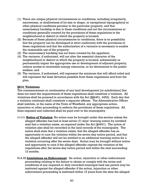- (1) There are unique physical circumstances or conditions, including irregularity, narrowness, or shallowness of lot size or shape, or exceptional topographical or other physical conditions peculiar to the particular property, and that unnecessary hardship is due to these conditions and not the circumstances or conditions generally created by the provisions of these regulations in the neighborhood or district in which the property is located;
- (2) Because of these physical circumstances or conditions, there is no possibility that the property can be developed in strict conformity with the provisions of these regulations and that the authorization of a variance is necessary to enable the reasonable use of the property;
- (3) The unnecessary hardship has not been created by the appellant;
- (4) The variance, if authorized, will not alter the essential character of the neighborhood or district in which the property is located, substantially or permanently impair the appropriate use or development of adjacent property, reduce access to renewable energy resources, or be detrimental to the public welfare; and
- (5) The variance, if authorized, will represent the minimum that will afford relief and will represent the least deviation possible from these regulations and from the plan.

## **§614**: **Violations**

The commencement or continuation of any land development [or subdivision] that does not meet the requirements of these regulations shall constitute a violation. All violations shall be pursued in accordance with the Act [§§4451, 4452]. Each day that a violation continues shall constitute a separate offense. The Administrative Officer shall institute, in the name of the Town of Westfield, any appropriate action, injunction or other proceeding to enforce the provisions of these regulations. All fines imposed and collected shall be paid over to the municipality.

- 614.01 **Notice of Violation**: No action may be brought under this section unless the alleged offender has had at least seven (7) days' warning notice by certified mail that a violation exists, as required under the Act [§4451]. The notice of violation also shall be recorded in the land records of the municipality. The notice shall state that a violation exists; that the alleged offender has an opportunity to cure the violation within the seven-day notice period, and that the alleged offender will not be entitled to an additional warning notice for a violation occurring after the seven days. Action may be brought without notice and opportunity to cure if the alleged offender repeats the violation of the regulations after the seven-day notice period and within the next succeeding 12 months.
- 614.02 **Limitations on Enforcement**: An action, injunction or other enforcement proceeding relating to the failure to obtain or comply with the terms and conditions of any required or duly recorded municipal land use permit may be instituted against the alleged offender if the action, injunction or other enforcement proceeding is instituted within 15 years from the date the alleged